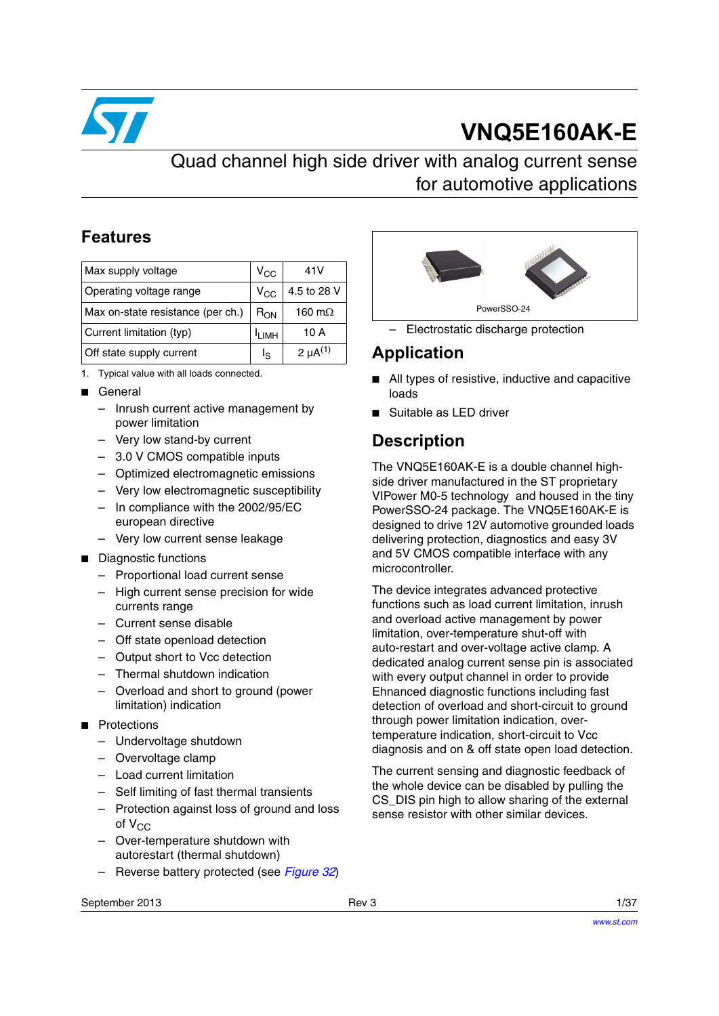

# **VNQ5E160AK-E**

# Quad channel high side driver with analog current sense for automotive applications

## **Features**

| Max supply voltage                | $V_{\rm CC}$      | 41 V            |
|-----------------------------------|-------------------|-----------------|
| Operating voltage range           | $V_{\rm CC}$      | 4.5 to 28 V     |
| Max on-state resistance (per ch.) | $R_{ON}$          | 160 m $\Omega$  |
| Current limitation (typ)          | <sup>I</sup> LIMH | 10 A            |
| Off state supply current          | ءا                | 2 $\mu A^{(1)}$ |

- 1. Typical value with all loads connected.
- General
	- Inrush current active management by power limitation
	- Very low stand-by current
	- 3.0 V CMOS compatible inputs
	- Optimized electromagnetic emissions
	- Very low electromagnetic susceptibility
	- In compliance with the 2002/95/EC european directive
	- Very low current sense leakage
- Diagnostic functions
	- Proportional load current sense
	- High current sense precision for wide currents range
	- Current sense disable
	- Off state openload detection
	- Output short to Vcc detection
	- Thermal shutdown indication
	- Overload and short to ground (power limitation) indication
- Protections
	- Undervoltage shutdown
	- Overvoltage clamp
	- Load current limitation
	- Self limiting of fast thermal transients
	- Protection against loss of ground and loss of  $V_{CC}$
	- Over-temperature shutdown with autorestart (thermal shutdown)
	- Reverse battery protected (see *[Figure 32](#page-23-0)*)



– Electrostatic discharge protection

## **Application**

- All types of resistive, inductive and capacitive loads
- Suitable as LED driver

# **Description**

The VNQ5E160AK-E is a double channel highside driver manufactured in the ST proprietary VIPower M0-5 technology and housed in the tiny PowerSSO-24 package. The VNQ5E160AK-E is designed to drive 12V automotive grounded loads delivering protection, diagnostics and easy 3V and 5V CMOS compatible interface with any microcontroller.

The device integrates advanced protective functions such as load current limitation, inrush and overload active management by power limitation, over-temperature shut-off with auto-restart and over-voltage active clamp. A dedicated analog current sense pin is associated with every output channel in order to provide Ehnanced diagnostic functions including fast detection of overload and short-circuit to ground through power limitation indication, overtemperature indication, short-circuit to Vcc diagnosis and on & off state open load detection.

The current sensing and diagnostic feedback of the whole device can be disabled by pulling the CS DIS pin high to allow sharing of the external sense resistor with other similar devices.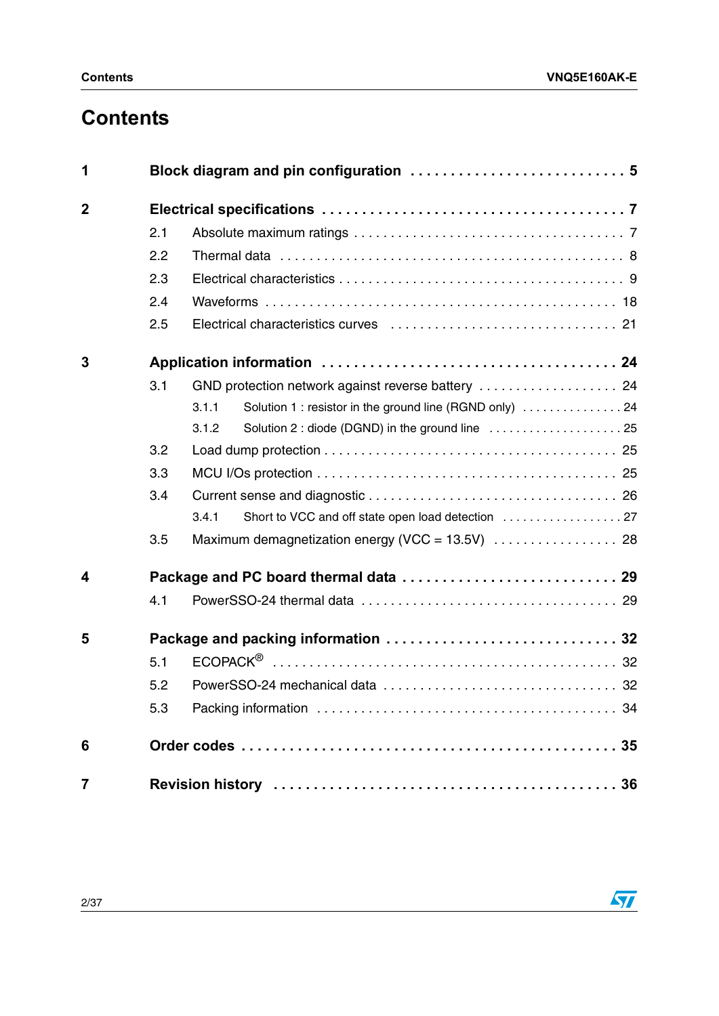# **Contents**

| 1              |     |                                                                   |  |  |
|----------------|-----|-------------------------------------------------------------------|--|--|
| $\mathbf 2$    |     |                                                                   |  |  |
|                | 2.1 |                                                                   |  |  |
|                | 2.2 |                                                                   |  |  |
|                | 2.3 |                                                                   |  |  |
|                | 2.4 |                                                                   |  |  |
|                | 2.5 |                                                                   |  |  |
| 3              |     |                                                                   |  |  |
|                | 3.1 |                                                                   |  |  |
|                |     | Solution 1 : resistor in the ground line (RGND only)  24<br>3.1.1 |  |  |
|                |     | Solution 2 : diode (DGND) in the ground line  25<br>3.1.2         |  |  |
|                | 3.2 |                                                                   |  |  |
|                | 3.3 |                                                                   |  |  |
|                | 3.4 |                                                                   |  |  |
|                |     | 3.4.1                                                             |  |  |
|                | 3.5 |                                                                   |  |  |
| 4              |     |                                                                   |  |  |
|                | 4.1 |                                                                   |  |  |
| 5              |     |                                                                   |  |  |
|                | 5.1 |                                                                   |  |  |
|                | 5.2 |                                                                   |  |  |
|                | 5.3 |                                                                   |  |  |
| 6              |     |                                                                   |  |  |
| $\overline{7}$ |     |                                                                   |  |  |

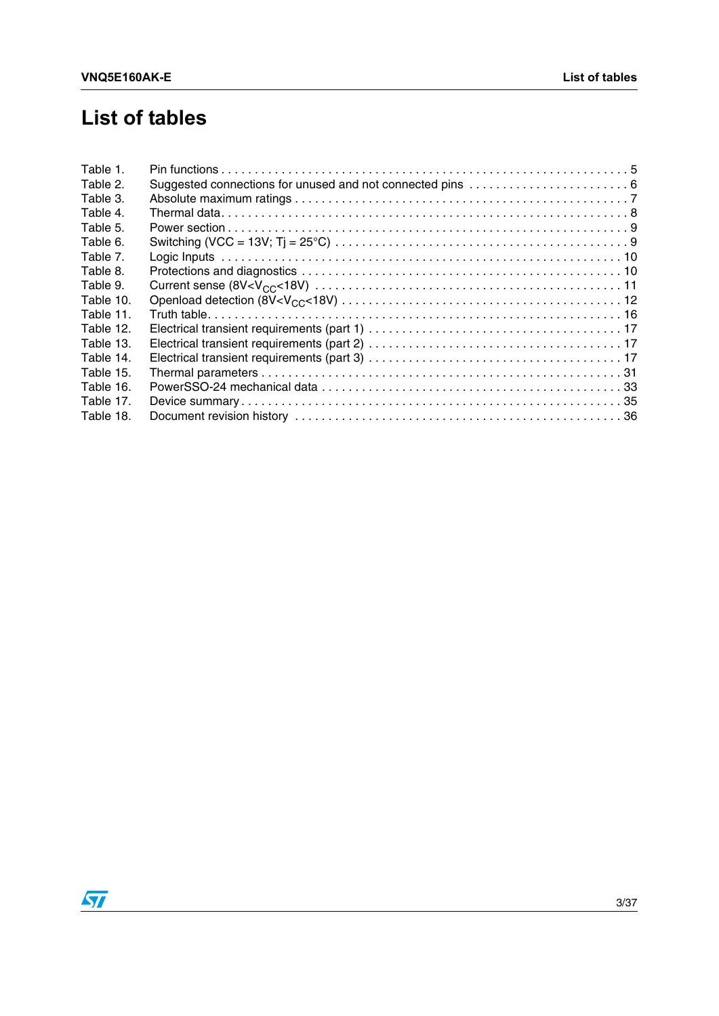# **List of tables**

| Table 1.  |  |
|-----------|--|
| Table 2.  |  |
| Table 3.  |  |
| Table 4.  |  |
| Table 5.  |  |
| Table 6.  |  |
| Table 7.  |  |
| Table 8.  |  |
| Table 9.  |  |
| Table 10. |  |
| Table 11. |  |
| Table 12. |  |
| Table 13. |  |
| Table 14. |  |
| Table 15. |  |
| Table 16. |  |
| Table 17. |  |
| Table 18. |  |

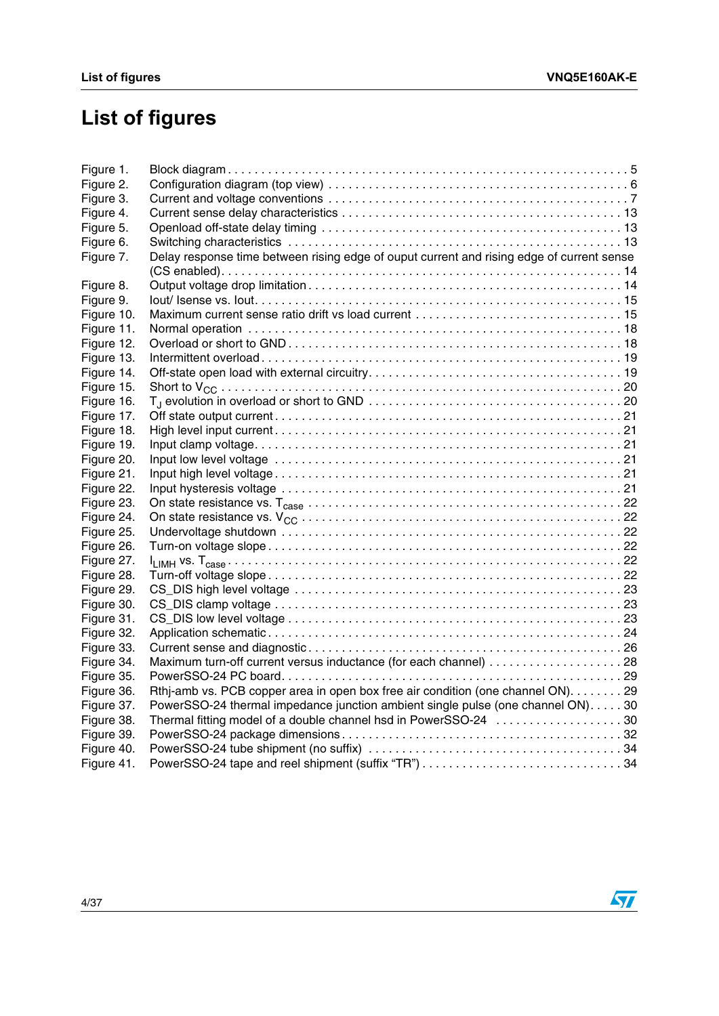# **List of figures**

| Figure 1.  |                                                                                           |  |
|------------|-------------------------------------------------------------------------------------------|--|
| Figure 2.  |                                                                                           |  |
| Figure 3.  |                                                                                           |  |
| Figure 4.  |                                                                                           |  |
| Figure 5.  |                                                                                           |  |
| Figure 6.  |                                                                                           |  |
| Figure 7.  | Delay response time between rising edge of ouput current and rising edge of current sense |  |
|            |                                                                                           |  |
| Figure 8.  |                                                                                           |  |
| Figure 9.  |                                                                                           |  |
| Figure 10. |                                                                                           |  |
| Figure 11. |                                                                                           |  |
| Figure 12. |                                                                                           |  |
| Figure 13. |                                                                                           |  |
| Figure 14. |                                                                                           |  |
| Figure 15. |                                                                                           |  |
| Figure 16. |                                                                                           |  |
| Figure 17. |                                                                                           |  |
| Figure 18. |                                                                                           |  |
| Figure 19. |                                                                                           |  |
| Figure 20. |                                                                                           |  |
| Figure 21. |                                                                                           |  |
| Figure 22. |                                                                                           |  |
| Figure 23. |                                                                                           |  |
| Figure 24. |                                                                                           |  |
| Figure 25. |                                                                                           |  |
| Figure 26. |                                                                                           |  |
| Figure 27. |                                                                                           |  |
| Figure 28. |                                                                                           |  |
| Figure 29. |                                                                                           |  |
| Figure 30. |                                                                                           |  |
| Figure 31. |                                                                                           |  |
| Figure 32. |                                                                                           |  |
| Figure 33. |                                                                                           |  |
| Figure 34. |                                                                                           |  |
| Figure 35. |                                                                                           |  |
| Figure 36. | Rthi-amb vs. PCB copper area in open box free air condition (one channel ON). 29          |  |
| Figure 37. | PowerSSO-24 thermal impedance junction ambient single pulse (one channel ON). 30          |  |
| Figure 38. | Thermal fitting model of a double channel hsd in PowerSSO-24 30                           |  |
| Figure 39. |                                                                                           |  |
| Figure 40. |                                                                                           |  |
| Figure 41. | PowerSSO-24 tape and reel shipment (suffix "TR") 34                                       |  |

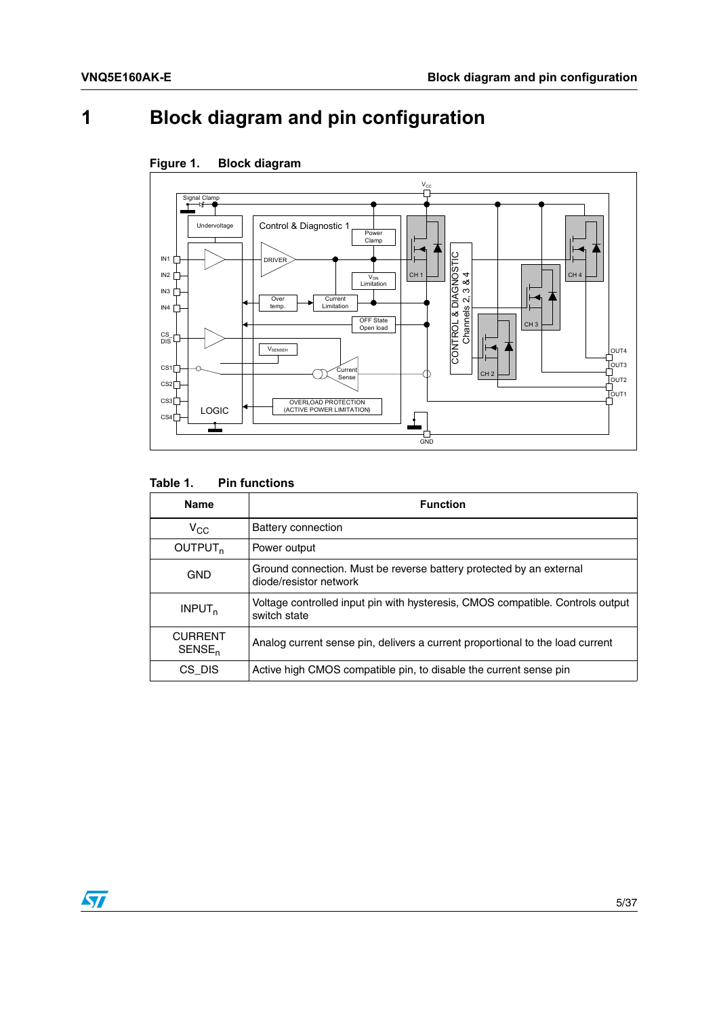# <span id="page-4-0"></span>**1 Block diagram and pin configuration**



<span id="page-4-2"></span>

#### <span id="page-4-1"></span>Table 1. **Pin functions**

| <b>Name</b>                          | <b>Function</b>                                                                                |
|--------------------------------------|------------------------------------------------------------------------------------------------|
| $V_{CC}$                             | Battery connection                                                                             |
| OUTPUT <sub>n</sub>                  | Power output                                                                                   |
| <b>GND</b>                           | Ground connection. Must be reverse battery protected by an external<br>diode/resistor network  |
| INPUT <sub>n</sub>                   | Voltage controlled input pin with hysteresis, CMOS compatible. Controls output<br>switch state |
| <b>CURRENT</b><br>SENSE <sub>n</sub> | Analog current sense pin, delivers a current proportional to the load current                  |
| CS DIS                               | Active high CMOS compatible pin, to disable the current sense pin                              |

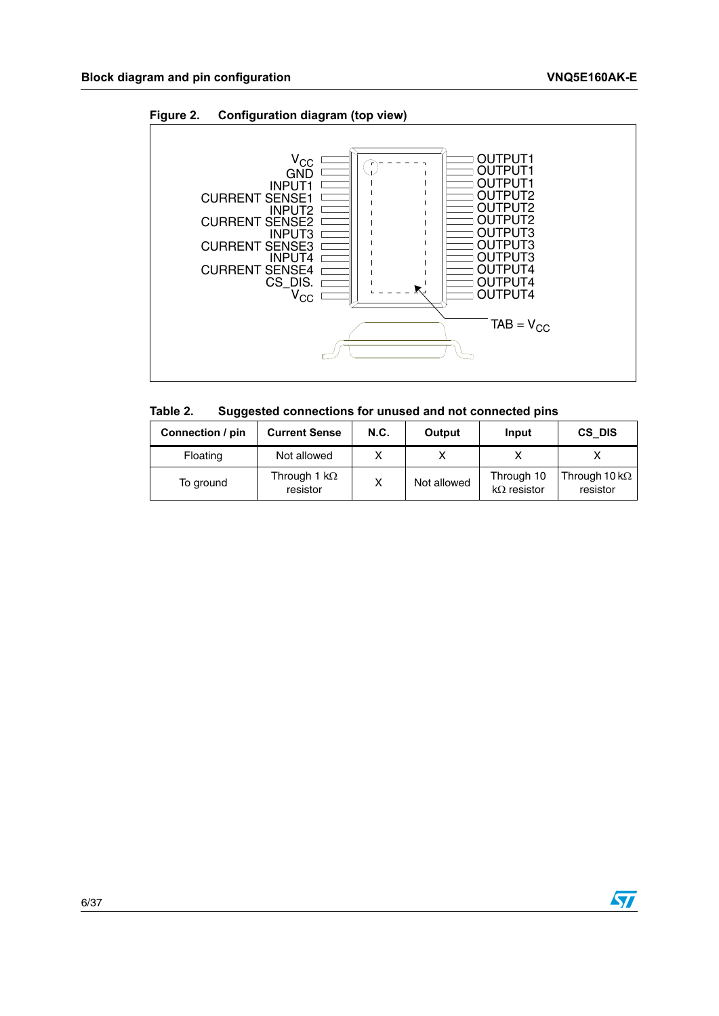

<span id="page-5-1"></span>

<span id="page-5-0"></span>

| Table 2. | Suggested connections for unused and not connected pins |  |  |  |
|----------|---------------------------------------------------------|--|--|--|
|----------|---------------------------------------------------------|--|--|--|

| Connection / pin | <b>Current Sense</b>            | <b>N.C.</b> | Output      | Input                            | CS DIS                            |
|------------------|---------------------------------|-------------|-------------|----------------------------------|-----------------------------------|
| Floating         | Not allowed                     |             |             |                                  |                                   |
| To ground        | Through 1 $k\Omega$<br>resistor |             | Not allowed | Through 10<br>$k\Omega$ resistor | Through 10 k $\Omega$<br>resistor |

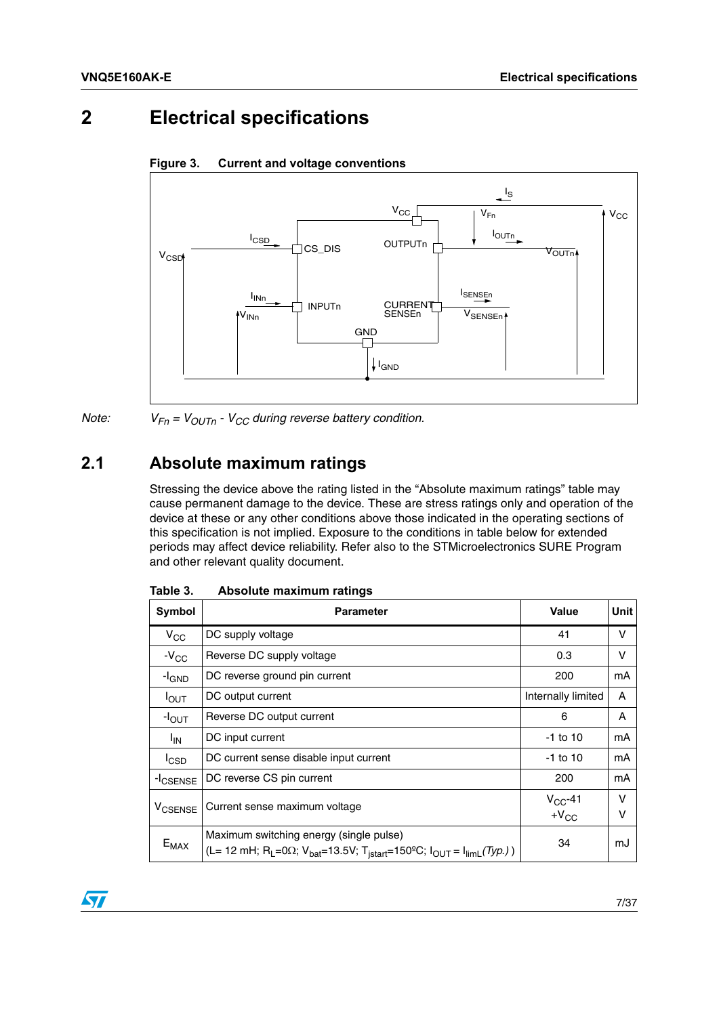# <span id="page-6-0"></span>**2 Electrical specifications**



#### <span id="page-6-3"></span>**Figure 3. Current and voltage conventions**

*Note:*  $V_{Fn} = V_{OUTn} - V_{CC}$  *during reverse battery condition.* 

## <span id="page-6-1"></span>**2.1 Absolute maximum ratings**

Stressing the device above the rating listed in the "Absolute maximum ratings" table may cause permanent damage to the device. These are stress ratings only and operation of the device at these or any other conditions above those indicated in the operating sections of this specification is not implied. Exposure to the conditions in table below for extended periods may affect device reliability. Refer also to the STMicroelectronics SURE Program and other relevant quality document.

| Symbol               | <b>Parameter</b>                                                                                                                                                                                  | <b>Value</b>              | Unit   |
|----------------------|---------------------------------------------------------------------------------------------------------------------------------------------------------------------------------------------------|---------------------------|--------|
| $V_{\rm CC}$         | DC supply voltage                                                                                                                                                                                 | 41                        | v      |
| $-V_{CC}$            | Reverse DC supply voltage                                                                                                                                                                         | 0.3                       | v      |
| -l <sub>GND</sub>    | DC reverse ground pin current                                                                                                                                                                     | 200                       | mA     |
| $I_{\text{OUT}}$     | DC output current                                                                                                                                                                                 | Internally limited        | A      |
| $-IOUT$              | Reverse DC output current                                                                                                                                                                         | 6                         | A      |
| $I_{IN}$             | DC input current                                                                                                                                                                                  | $-1$ to 10                | mA     |
| <sup>I</sup> CSD     | DC current sense disable input current                                                                                                                                                            | $-1$ to 10                | mA     |
| -I <sub>CSENSE</sub> | DC reverse CS pin current                                                                                                                                                                         | 200                       | mA     |
| <b>V</b> CSENSE      | Current sense maximum voltage                                                                                                                                                                     | $V_{CC}$ -41<br>$+V_{CC}$ | v<br>v |
| $E_{MAX}$            | Maximum switching energy (single pulse)<br>(L= 12 mH; R <sub>L</sub> =0 $\Omega$ ; V <sub>bat</sub> =13.5V; T <sub>istart</sub> =150 <sup>o</sup> C; I <sub>OUT</sub> = I <sub>limL</sub> (Typ.)) | 34                        | mJ     |

<span id="page-6-2"></span>Table 3. **Absolute maximum ratings** 

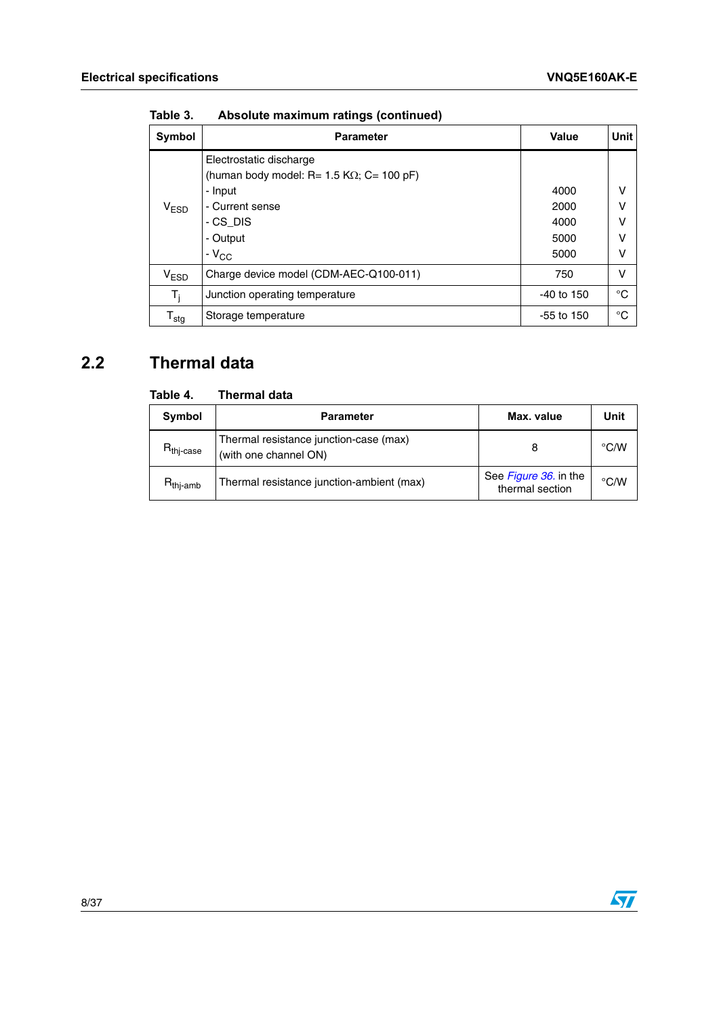| Symbol                    | <b>Parameter</b>                                                             | Value        | <b>Unit</b> |
|---------------------------|------------------------------------------------------------------------------|--------------|-------------|
|                           | Electrostatic discharge<br>(human body model: R= 1.5 K $\Omega$ ; C= 100 pF) |              |             |
|                           | - Input                                                                      | 4000         | $\vee$      |
| V <sub>ESD</sub>          | - Current sense                                                              | 2000         | ٧           |
|                           | - CS DIS                                                                     | 4000         | ٧           |
|                           | - Output                                                                     | 5000         | v           |
|                           | $-V_{CC}$                                                                    | 5000         | ٧           |
| V <sub>ESD</sub>          | Charge device model (CDM-AEC-Q100-011)                                       | 750          | ν           |
| $T_i$                     | Junction operating temperature                                               | $-40$ to 150 | °C          |
| $\mathsf{T}_{\text{stg}}$ | Storage temperature                                                          | $-55$ to 150 | °C          |

**Table 3. Absolute maximum ratings (continued)**

# <span id="page-7-0"></span>**2.2 Thermal data**

#### <span id="page-7-1"></span>Table 4. **Thermal data**

| Symbol                | <b>Parameter</b>                                                | Max. value                               | Unit               |
|-----------------------|-----------------------------------------------------------------|------------------------------------------|--------------------|
| $R_{\text{thi-case}}$ | Thermal resistance junction-case (max)<br>(with one channel ON) |                                          |                    |
| $R_{\text{thi-amb}}$  | Thermal resistance junction-ambient (max)                       | See Figure 36. in the<br>thermal section | $\rm ^{\circ}$ C/W |

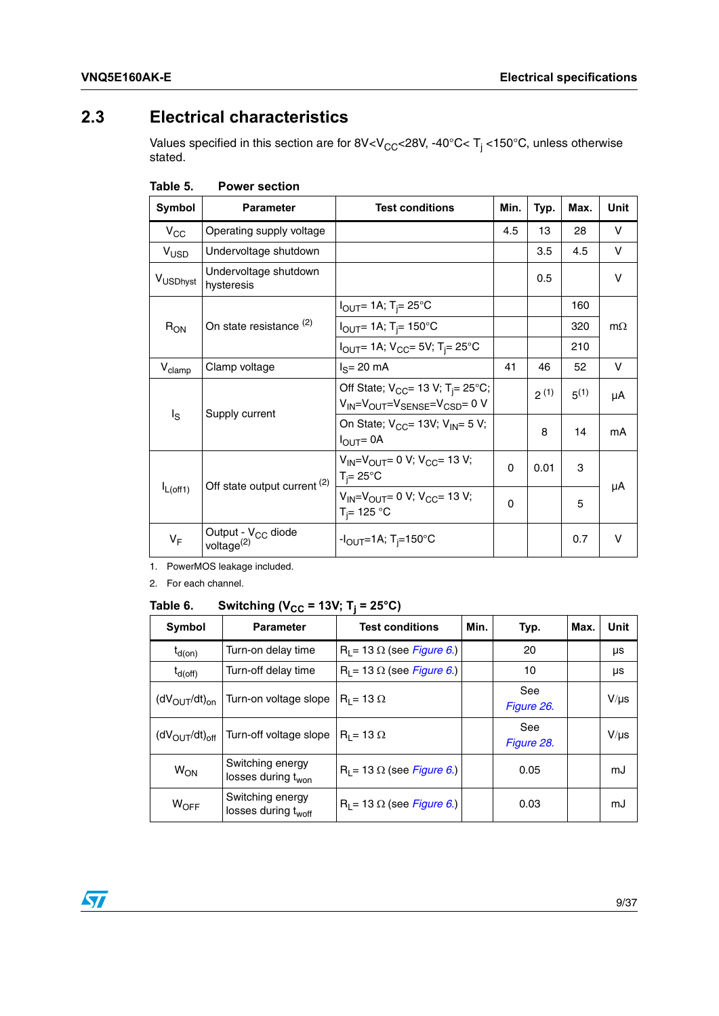# <span id="page-8-0"></span>**2.3 Electrical characteristics**

Values specified in this section are for 8V<V $_{\rm CC}$ <28V, -40°C< T<sub>j</sub> <150°C, unless otherwise stated.

| Symbol               | <b>Parameter</b>                                         | <b>Test conditions</b>                                                                               | Min. | Typ.      | Max.      | Unit      |
|----------------------|----------------------------------------------------------|------------------------------------------------------------------------------------------------------|------|-----------|-----------|-----------|
| $V_{\rm CC}$         | Operating supply voltage                                 |                                                                                                      | 4.5  | 13        | 28        | v         |
| $V_{\text{USD}}$     | Undervoltage shutdown                                    |                                                                                                      |      | 3.5       | 4.5       | v         |
| V <sub>USDhyst</sub> | Undervoltage shutdown<br>hysteresis                      |                                                                                                      |      | 0.5       |           | $\vee$    |
|                      |                                                          | $I_{\text{OUT}}$ = 1A; T <sub>i</sub> = 25°C                                                         |      |           | 160       |           |
| $R_{ON}$             | On state resistance <sup>(2)</sup>                       | $I_{OUT} = 1A$ ; T <sub>i</sub> = 150°C                                                              |      |           | 320       | $m\Omega$ |
|                      |                                                          | $I_{\text{OUT}}$ 1A; $V_{\text{CC}}$ = 5V; T <sub>i</sub> = 25°C                                     |      |           | 210       |           |
| $V_{\text{clamp}}$   | Clamp voltage                                            | $IS=20 mA$                                                                                           | 41   | 46        | 52        | v         |
|                      |                                                          | Off State; $V_{CC}$ = 13 V; T <sub>i</sub> = 25°C;<br>$V_{IN} = V_{OUT} = V_{SENSE} = V_{CSD} = 0 V$ |      | $2^{(1)}$ | $5^{(1)}$ | μA        |
| $I_{\rm S}$          | Supply current                                           | On State; $V_{CC}$ = 13V; $V_{IN}$ = 5 V;<br>$I_{OUT} = 0A$                                          |      | 8         | 14        | mA        |
| $I_{L(off1)}$        | Off state output current <sup>(2)</sup>                  | $V_{IN} = V_{OUT} = 0$ V; $V_{CC} = 13$ V;<br>$T_i = 25^{\circ}C$                                    | 0    | 0.01      | 3         | μA        |
|                      |                                                          | $V_{IN} = V_{OUT} = 0$ V; $V_{CC} = 13$ V;<br>$T_i = 125 °C$                                         | 0    |           | 5         |           |
| $V_F$                | Output - V <sub>CC</sub> diode<br>voltage <sup>(2)</sup> | $-I_{\rm OUT} = 1$ A; T <sub>i</sub> =150°C                                                          |      |           | 0.7       | $\vee$    |

<span id="page-8-1"></span>

|  | Table 5. | <b>Power section</b> |
|--|----------|----------------------|
|--|----------|----------------------|

<span id="page-8-3"></span>1. PowerMOS leakage included.

<span id="page-8-4"></span>2. For each channel.

#### <span id="page-8-2"></span>Table 6. **Switching (V<sub>CC</sub> = 13V; T<sub>i</sub> = 25°C)**

| Symbol                              | <b>Parameter</b>                                    | <b>Test conditions</b>            | Min. | Typ.              | Max. | Unit      |
|-------------------------------------|-----------------------------------------------------|-----------------------------------|------|-------------------|------|-----------|
| $t_{d(on)}$                         | Turn-on delay time                                  | $R_1 = 13 \Omega$ (see Figure 6.) |      | 20                |      | μs        |
| $t_{d(off)}$                        | Turn-off delay time                                 | $R_1 = 13 \Omega$ (see Figure 6.) |      | 10                |      | μs        |
| $(dV_{OUT}/dt)_{on}$                | Turn-on voltage slope                               | $R_1 = 13 \Omega$                 |      | See<br>Figure 26. |      | $V/\mu s$ |
| $(dV_{\text{OUT}}/dt)_{\text{off}}$ | Turn-off voltage slope                              | $R_1 = 13 \Omega$                 |      | See<br>Figure 28. |      | $V/\mu s$ |
| W <sub>ON</sub>                     | Switching energy<br>losses during t <sub>won</sub>  | $R_1 = 13 \Omega$ (see Figure 6.) |      | 0.05              |      | mJ        |
| $W_{\text{OFF}}$                    | Switching energy<br>losses during t <sub>woff</sub> | $R_1 = 13 \Omega$ (see Figure 6.) |      | 0.03              |      | mJ        |

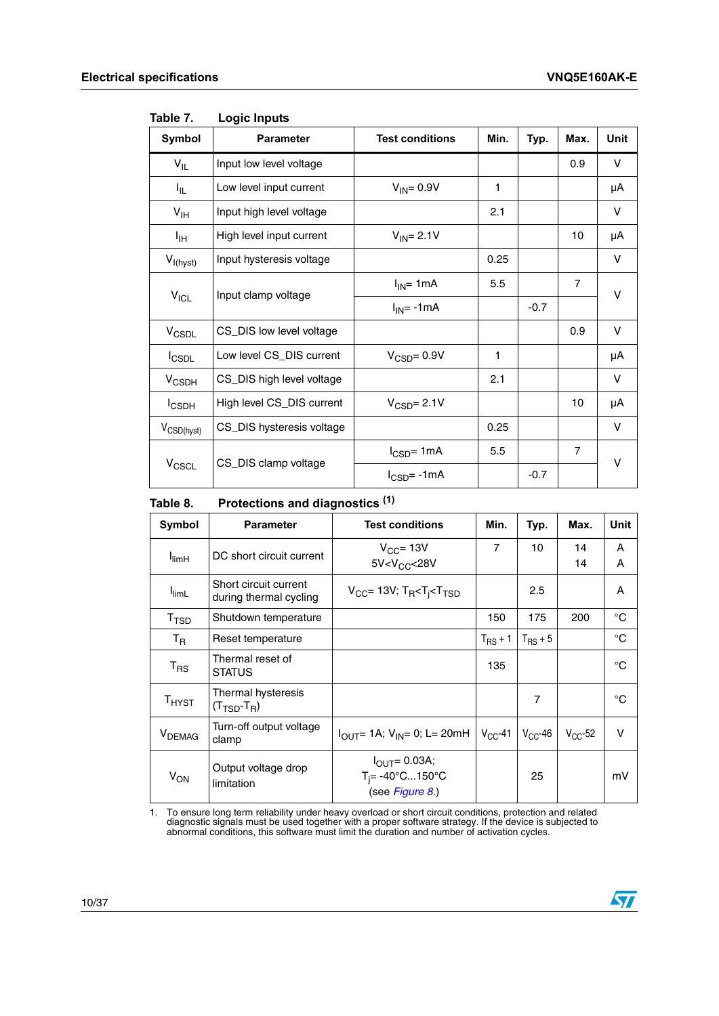$\sqrt{2}$ 

| Symbol                 | <b>Parameter</b>          | <b>Test conditions</b>         | Min. | Typ.   | Max.           | Unit   |
|------------------------|---------------------------|--------------------------------|------|--------|----------------|--------|
| $V_{IL}$               | Input low level voltage   |                                |      |        | 0.9            | V      |
| 址                      | Low level input current   | $V_{IN} = 0.9V$                | 1    |        |                | μA     |
| $V_{\text{IH}}$        | Input high level voltage  |                                | 2.1  |        |                | V      |
| ŀщ                     | High level input current  | $V_{IN} = 2.1V$                |      |        | 10             | μA     |
| $V_{I(hyst)}$          | Input hysteresis voltage  |                                | 0.25 |        |                | v      |
|                        | Input clamp voltage       | $I_{IN}$ = 1mA                 | 5.5  |        | $\overline{7}$ | v      |
| $V_{ICL}$              |                           | $I_{IN}$ = -1mA                |      | $-0.7$ |                |        |
| V <sub>CSDL</sub>      | CS_DIS low level voltage  |                                |      |        | 0.9            | V      |
| <b>I</b> CSDL          | Low level CS_DIS current  | $V_{\text{CSD}} = 0.9V$        | 1    |        |                | μA     |
| $V_{\text{CSDH}}$      | CS_DIS high level voltage |                                | 2.1  |        |                | V      |
| $I_{\text{CSDH}}$      | High level CS_DIS current | $V_{\text{CSD}} = 2.1 V$       |      |        | 10             | μA     |
| V <sub>CSD(hyst)</sub> | CS_DIS hysteresis voltage |                                | 0.25 |        |                | $\vee$ |
|                        | CS_DIS clamp voltage      | $I_{\text{CSD}} = 1 \text{mA}$ | 5.5  |        | $\overline{7}$ | V      |
| V <sub>CSCL</sub>      |                           | $I_{\text{CSD}} = -1mA$        |      | $-0.7$ |                |        |

<span id="page-9-0"></span>Table 7. **Logic Inputs** 

#### <span id="page-9-1"></span>Table 8. Protections and diagnostics<sup>(1)</sup>

| Symbol                       | <b>Parameter</b>                                      | <b>Test conditions</b>                                                           | Min.           | Typ.         | Max.         | Unit        |
|------------------------------|-------------------------------------------------------|----------------------------------------------------------------------------------|----------------|--------------|--------------|-------------|
| $I_{\text{limH}}$            | DC short circuit current                              | $V_{CC}$ = 13V<br>5V < V <sub>CC</sub> < 28V                                     | $\overline{7}$ | 10           | 14<br>14     | A<br>A      |
| $I_{\text{limL}}$            | Short circuit current<br>during thermal cycling       | $V_{CC}$ = 13V; T <sub>R</sub> <t<sub>i<t<sub>TSD</t<sub></t<sub>                |                | 2.5          |              | A           |
| T <sub>TSD</sub>             | Shutdown temperature                                  |                                                                                  | 150            | 175          | 200          | °C          |
| $T_{\mathsf{R}}$             | Reset temperature                                     |                                                                                  | $T_{RS}$ + 1   | $T_{RS}$ + 5 |              | $^{\circ}C$ |
| $T_{RS}$                     | Thermal reset of<br><b>STATUS</b>                     |                                                                                  | 135            |              |              | °C          |
| $\mathsf{T}_{\mathsf{HYST}}$ | Thermal hysteresis<br>$(T_{\text{TSD}}-T_{\text{R}})$ |                                                                                  |                | 7            |              | °C          |
| <b>V</b> <sub>DEMAG</sub>    | Turn-off output voltage<br>clamp                      | $I_{\text{OUT}}$ 1A; $V_{\text{IN}}$ = 0; L = 20mH                               | $V_{CC}$ -41   | $V_{CC}$ -46 | $V_{CC}$ -52 | v           |
| $V_{ON}$                     | Output voltage drop<br>limitation                     | $I_{\text{OUT}} = 0.03A;$<br>$T_i = -40^{\circ}C150^{\circ}C$<br>(see Figure 8.) |                | 25           |              | mV          |

1. To ensure long term reliability under heavy overload or short circuit conditions, protection and related diagnostic signals must be used together with a proper software strategy. If the device is subjected to abnormal conditions, this software must limit the duration and number of activation cycles.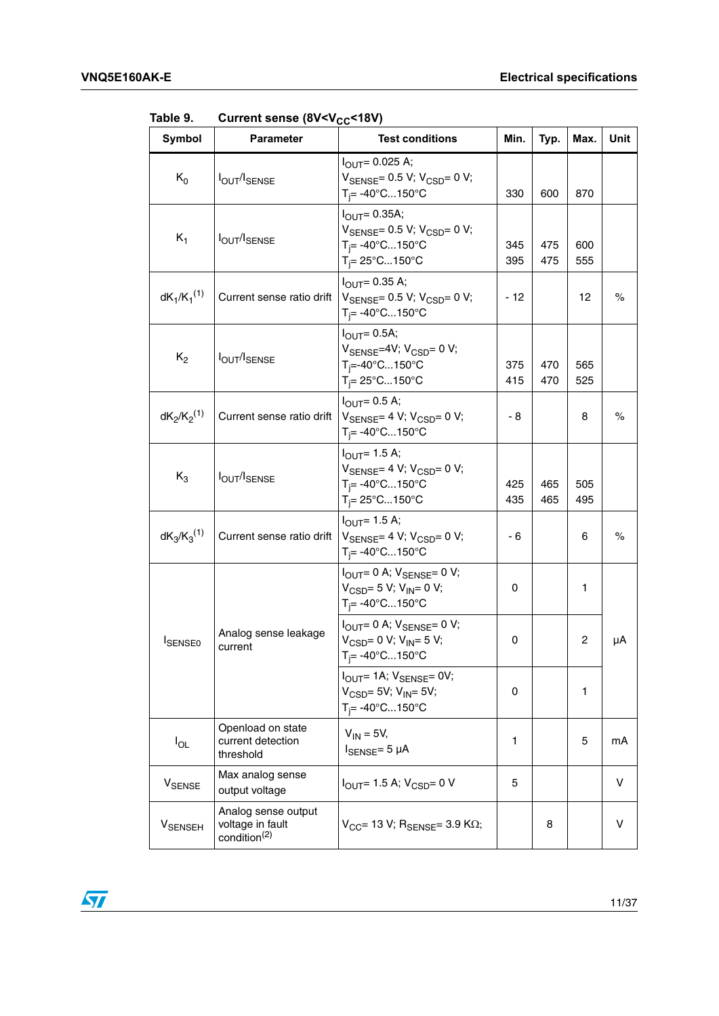| Symbol           | <b>Parameter</b>                                                    | <b>Test conditions</b>                                                                                                                                          | Min.       | Typ.       | Max.       | Unit |
|------------------|---------------------------------------------------------------------|-----------------------------------------------------------------------------------------------------------------------------------------------------------------|------------|------------|------------|------|
| $K_0$            | <b>IOUT/ISENSE</b>                                                  | $I_{\text{OUT}} = 0.025 \text{ A};$<br>$V_{\text{SENSE}} = 0.5 V$ ; $V_{\text{CSD}} = 0 V$ ;<br>$T_i = -40^{\circ}C150^{\circ}C$                                | 330        | 600        | 870        |      |
| $K_1$            | <b>IOUT/ISENSE</b>                                                  | $I_{\text{OUT}} = 0.35A$ ;<br>$V_{\text{SENSE}} = 0.5 V$ ; $V_{\text{CSD}} = 0 V$ ;<br>$T_i = -40^{\circ}C150^{\circ}C$<br>$T_i = 25^{\circ}$ C150 $^{\circ}$ C | 345<br>395 | 475<br>475 | 600<br>555 |      |
| $dK_1/K_1^{(1)}$ | Current sense ratio drift                                           | $I_{\text{OUT}} = 0.35 \text{ A};$<br>$V_{\text{SENSE}} = 0.5 V$ ; $V_{\text{CSD}} = 0 V$ ;<br>$T_i = -40^{\circ}C150^{\circ}C$                                 | $-12$      |            | 12         | $\%$ |
| $K_2$            | <b>IOUT/ISENSE</b>                                                  | $I_{\text{OUT}} = 0.5A$ ;<br>V <sub>SENSE</sub> =4V; V <sub>CSD</sub> = 0 V;<br>T <sub>i</sub> =-40°C150°C<br>$T_i = 25^{\circ}$ C150 $^{\circ}$ C              | 375<br>415 | 470<br>470 | 565<br>525 |      |
| $dK_2/K_2^{(1)}$ | Current sense ratio drift                                           | $I_{OUT} = 0.5 A;$<br>$V_{\text{SENSE}} = 4 V$ ; $V_{\text{CSD}} = 0 V$ ;<br>$T_i = -40^{\circ}C150^{\circ}C$                                                   | - 8        |            | 8          | %    |
| $K_3$            | <b>IOUT/ISENSE</b>                                                  | $I_{OIII} = 1.5$ A;<br>$V_{\text{SENSE}} = 4 V$ ; $V_{\text{CSD}} = 0 V$ ;<br>$T_i = -40^{\circ}C150^{\circ}C$<br>$T_i = 25^{\circ}$ C150 $^{\circ}$ C          | 425<br>435 | 465<br>465 | 505<br>495 |      |
| $dK_3/K_3^{(1)}$ | Current sense ratio drift                                           | $IOUT = 1.5 A;$<br>$V_{\text{SENSE}} = 4 V$ ; $V_{\text{CSD}} = 0 V$ ;<br>T <sub>i</sub> = -40°C150°C                                                           | - 6        |            | 6          | $\%$ |
|                  |                                                                     | $I_{\text{OUT}} = 0$ A; $V_{\text{SENSE}} = 0$ V;<br>$V_{\text{CSD}} = 5 V$ ; $V_{\text{IN}} = 0 V$ ;<br>T <sub>i</sub> = -40°C150°C                            | 0          |            | 1          |      |
| <b>ISENSEO</b>   | Analog sense leakage<br>current                                     | $I_{\text{OUT}} = 0$ A; $V_{\text{SENSE}} = 0$ V;<br>$V_{CSD} = 0 V$ ; $V_{IN} = 5 V$ ;<br>$T_i = -40^{\circ}C150^{\circ}C$                                     | 0          |            | 2          | μA   |
|                  |                                                                     | $I_{\text{OUT}}$ = 1A; $V_{\text{SENSE}}$ = 0V;<br>$V_{CSD} = 5V$ ; $V_{IN} = 5V$ ;<br>$T_i = -40^{\circ}C150^{\circ}C$                                         | 0          |            | 1          |      |
| $I_{OL}$         | Openload on state<br>current detection<br>threshold                 | $V_{IN} = 5V$ ,<br>$I_{SENSE} = 5 \mu A$                                                                                                                        | 1          |            | 5          | mA   |
| <b>V</b> SENSE   | Max analog sense<br>output voltage                                  | $I_{\text{OUT}}$ = 1.5 A; $V_{\text{CSD}}$ = 0 V                                                                                                                | 5          |            |            | v    |
| <b>V</b> SENSEH  | Analog sense output<br>voltage in fault<br>condition <sup>(2)</sup> | $V_{CC}$ = 13 V; R <sub>SFNSF</sub> = 3.9 K $\Omega$ ;                                                                                                          |            | 8          |            | v    |

<span id="page-10-0"></span>Table 9. Current sense (8V<V<sub>CC</sub><18V)

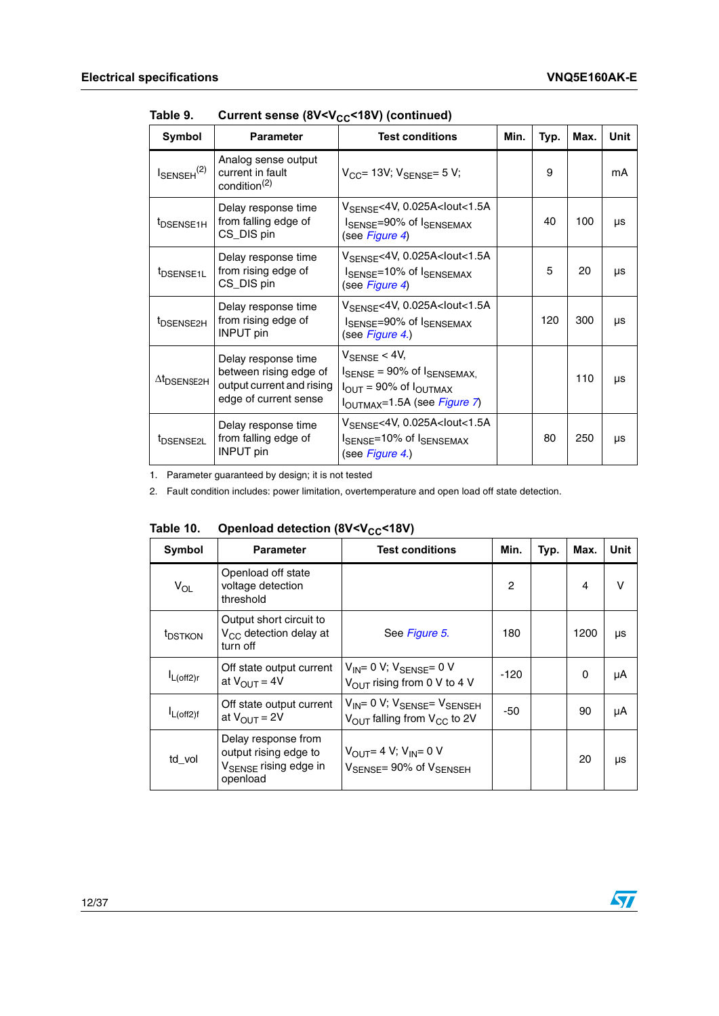| Symbol                         | <b>Parameter</b>                                                                                    | <b>Test conditions</b>                                                                                                                                                      | Min. | Typ. | Max. | Unit |
|--------------------------------|-----------------------------------------------------------------------------------------------------|-----------------------------------------------------------------------------------------------------------------------------------------------------------------------------|------|------|------|------|
| $I_{\text{SENSEH}}^{(2)}$      | Analog sense output<br>current in fault<br>condition <sup>(2)</sup>                                 | $V_{CC}$ = 13V; $V_{SENSE}$ = 5V;                                                                                                                                           |      | 9    |      | mA   |
| t <sub>DSENSE1H</sub>          | Delay response time<br>from falling edge of<br>CS_DIS pin                                           | $V_{\text{SFNSF}}$ <4V, 0.025A <lout<1.5a<br>I<sub>SENSE</sub>=90% of I<sub>SENSEMAX</sub><br/>(see Figure 4)</lout<1.5a<br>                                                |      | 40   | 100  | μs   |
| t <sub>DSENSE1L</sub>          | Delay response time<br>from rising edge of<br>CS_DIS pin                                            | V <sub>SENSE</sub> <4V, 0.025A <lout<1.5a<br>I<sub>SENSE</sub>=10% of I<sub>SENSEMAX</sub><br/>(see Figure 4)</lout<1.5a<br>                                                |      | 5    | 20   | μs   |
| <sup>t</sup> DSENSE2H          | Delay response time<br>from rising edge of<br><b>INPUT</b> pin                                      | $V_{\text{SFNSF}}$ <4V, 0.025A <lout<1.5a<br>I<sub>SENSE</sub>=90% of I<sub>SENSEMAX</sub><br/>(see Figure 4.)</lout<1.5a<br>                                               |      | 120  | 300  | μs   |
| $\Delta t$ <sub>DSENSE2H</sub> | Delay response time<br>between rising edge of<br>output current and rising<br>edge of current sense | $V_{\text{SENSE}}$ < 4V,<br>$I_{\text{SENSE}}$ = 90% of $I_{\text{SENSEMAX}}$<br>$I_{\text{OUT}} = 90\%$ of $I_{\text{OUTMAX}}$<br>l <sub>OUTMAX</sub> =1.5A (see Figure 7) |      |      | 110  | μs   |
| t <sub>DSENSE2L</sub>          | Delay response time<br>from falling edge of<br><b>INPUT</b> pin                                     | $V_{\text{SFNSF}}$ <4V, 0.025A <lout<1.5a<br>ISENSE=10% of ISENSEMAX<br/>(see Figure 4.)</lout<1.5a<br>                                                                     |      | 80   | 250  | μs   |

Table 9. Current sense (8V<V<sub>CC</sub><18V) (continued)

1. Parameter guaranteed by design; it is not tested

2. Fault condition includes: power limitation, overtemperature and open load off state detection.

<span id="page-11-0"></span>

| Table 10. | Openload detection (8V <v<sub>CC&lt;18V)</v<sub> |  |  |  |
|-----------|--------------------------------------------------|--|--|--|
|-----------|--------------------------------------------------|--|--|--|

| Symbol              | <b>Parameter</b>                                                                              | <b>Test conditions</b>                                                                                    | Min.          | Typ. | Max.     | Unit |
|---------------------|-----------------------------------------------------------------------------------------------|-----------------------------------------------------------------------------------------------------------|---------------|------|----------|------|
| $V_{OL}$            | Openload off state<br>voltage detection<br>threshold                                          |                                                                                                           | $\mathcal{P}$ |      | 4        | v    |
| <sup>t</sup> DSTKON | Output short circuit to<br>$V_{CC}$ detection delay at<br>turn off                            | See Figure 5.                                                                                             | 180           |      | 1200     | μs   |
| $I_{L(off2)r}$      | Off state output current<br>at $V_{\text{OUT}} = 4V$                                          | $V_{IN} = 0 V$ ; $V_{SENSE} = 0 V$<br>$V_{\text{OUT}}$ rising from 0 V to 4 V                             | $-120$        |      | $\Omega$ | μA   |
| $I_{L(off2)f}$      | Off state output current<br>at $V_{\text{OUT}} = 2V$                                          | $V_{IN} = 0 V$ ; $V_{SENSE} = V_{SENSEH}$<br>$V_{\text{OUT}}$ falling from $V_{\text{CC}}$ to 2V          | -50           |      | 90       | μA   |
| td_vol              | Delay response from<br>output rising edge to<br>V <sub>SENSE</sub> rising edge in<br>openload | $V_{\text{OUT}} = 4 V$ ; $V_{\text{IN}} = 0 V$<br>$V_{\text{SFNSF}} = 90\% \text{ of } V_{\text{SFNSFH}}$ |               |      | 20       | μs   |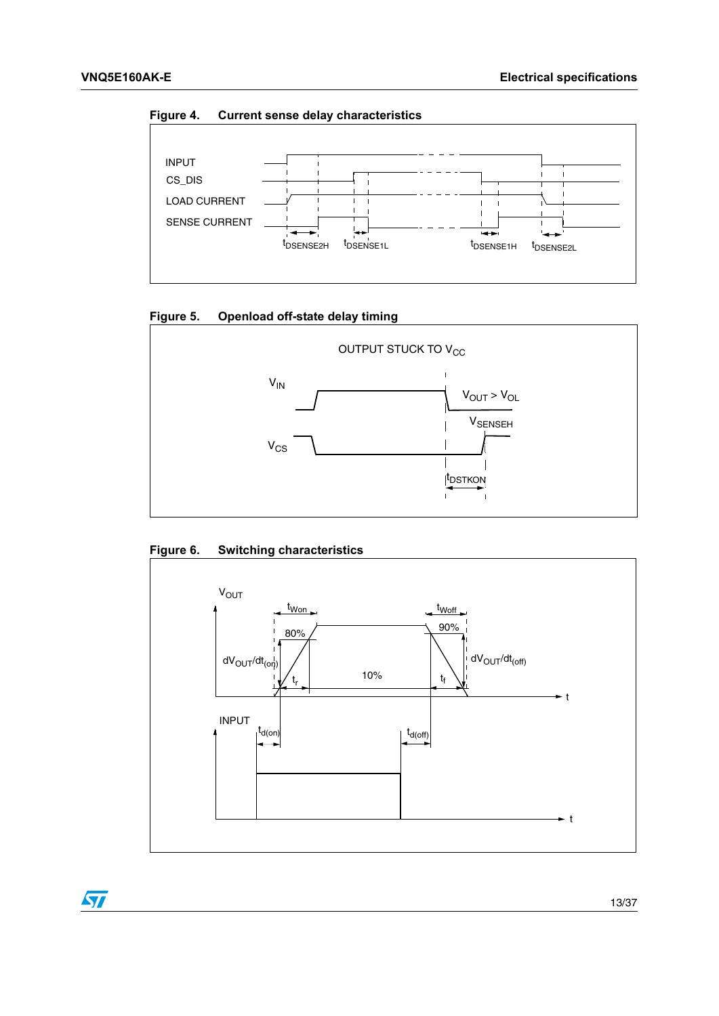<span id="page-12-0"></span>**Figure 4. Current sense delay characteristics**



<span id="page-12-1"></span>



<span id="page-12-2"></span>



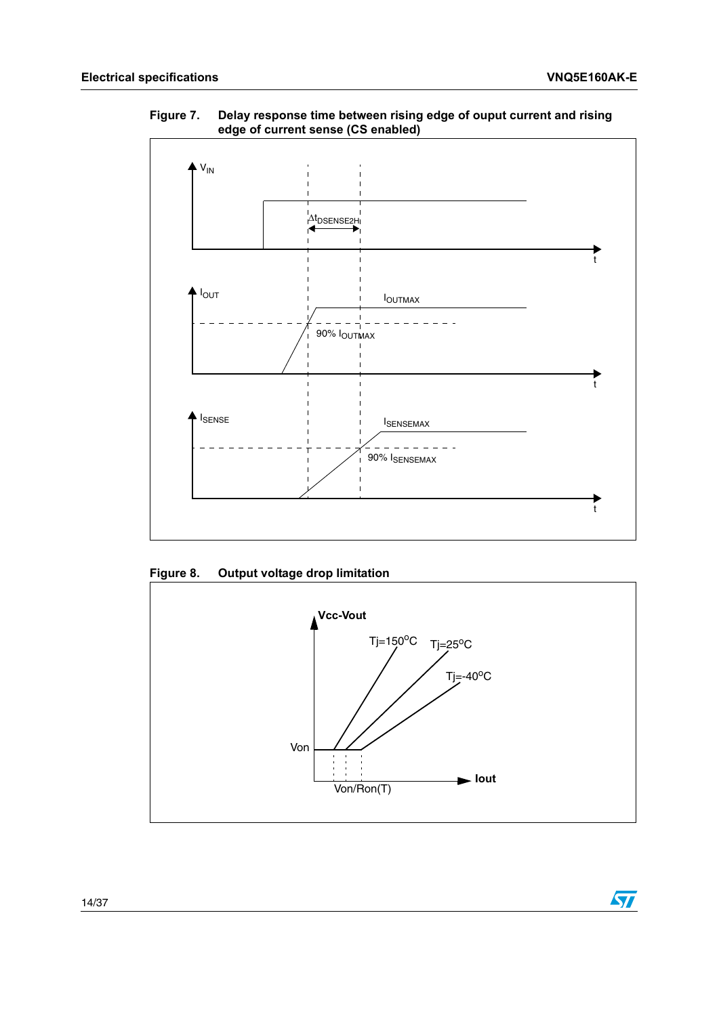$\sqrt{2}$ 



<span id="page-13-0"></span>**Figure 7. Delay response time between rising edge of ouput current and rising edge of current sense (CS enabled)**

<span id="page-13-1"></span>**Figure 8. Output voltage drop limitation**

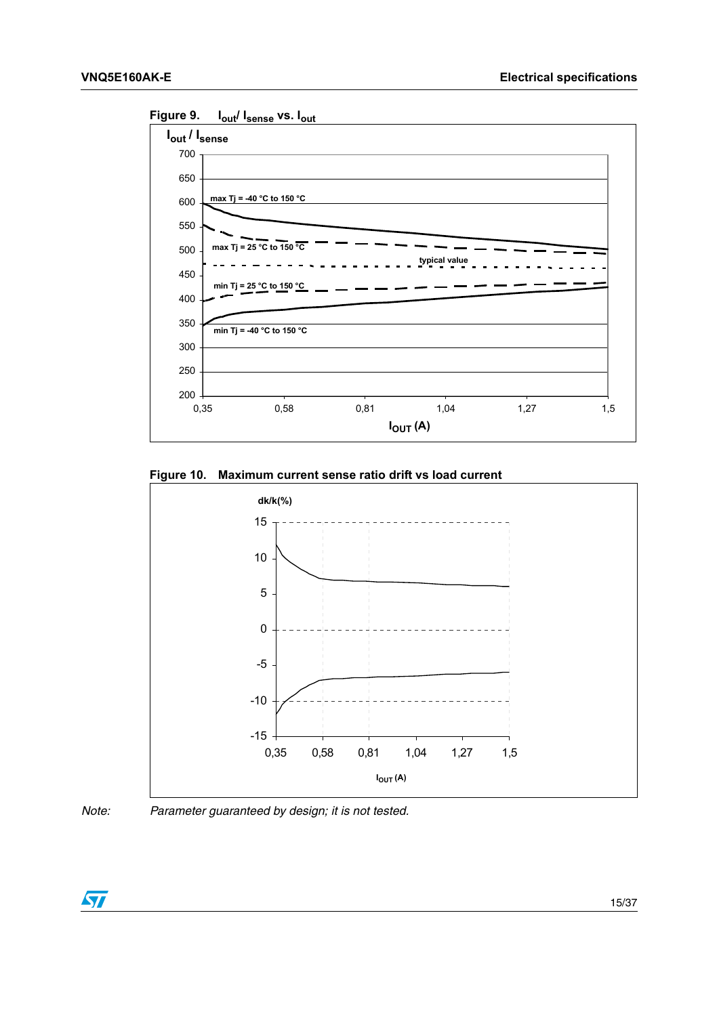

<span id="page-14-0"></span>**Figure 9. Iout/ Isense vs. Iout**

<span id="page-14-1"></span>



*Note: Parameter guaranteed by design; it is not tested.*

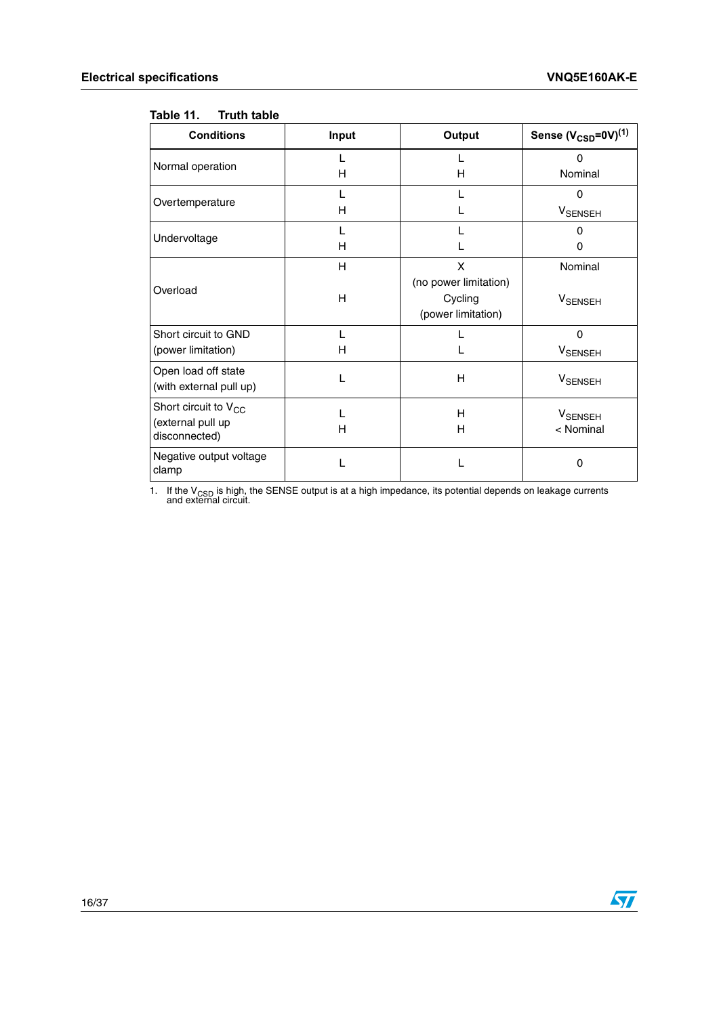#### <span id="page-15-0"></span>**Table 11. Truth table**

| <b>Conditions</b>                                               | Input  | Output                                                      | Sense $(V_{\text{CSD}}=0V)^{(1)}$ |
|-----------------------------------------------------------------|--------|-------------------------------------------------------------|-----------------------------------|
| Normal operation                                                | н      | н                                                           | $\Omega$<br>Nominal               |
| Overtemperature                                                 | L<br>н |                                                             | $\Omega$<br><b>V</b> SENSEH       |
| Undervoltage                                                    | L<br>н |                                                             | $\Omega$<br>O                     |
| Overload                                                        | H<br>H | X<br>(no power limitation)<br>Cycling<br>(power limitation) | Nominal<br><b>V</b> SENSEH        |
| Short circuit to GND<br>(power limitation)                      | L<br>н |                                                             | $\Omega$<br><b>V</b> SENSEH       |
| Open load off state<br>(with external pull up)                  | L      | H                                                           | <b>V</b> SENSEH                   |
| Short circuit to $V_{CC}$<br>(external pull up<br>disconnected) | L<br>н | н<br>н                                                      | <b>V</b> SENSEH<br>< Nominal      |
| Negative output voltage<br>clamp                                |        |                                                             | $\Omega$                          |

1. If the V<sub>CSD</sub> is high, the SENSE output is at a high impedance, its potential depends on leakage currents and external circuit.

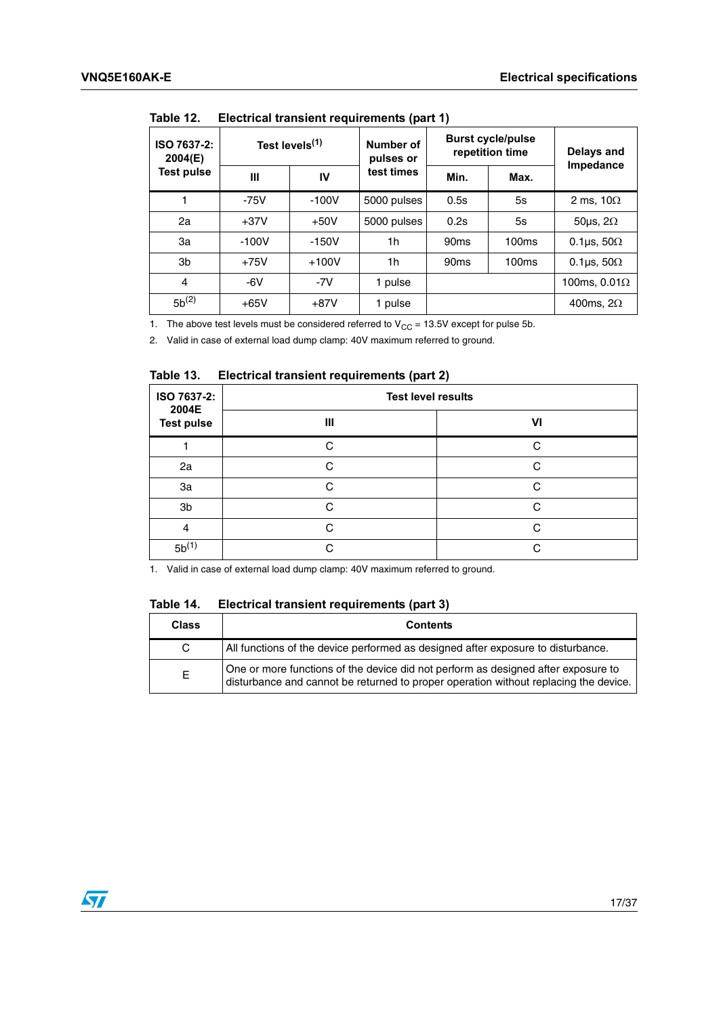| Test levels <sup>(1)</sup><br>ISO 7637-2:<br>2004(E) |         | Number of<br>pulses or |             | <b>Burst cycle/pulse</b><br>repetition time | Delays and<br>Impedance |                          |
|------------------------------------------------------|---------|------------------------|-------------|---------------------------------------------|-------------------------|--------------------------|
| Test pulse                                           | Ш       | IV                     | test times  | Min.                                        | Max.                    |                          |
|                                                      | $-75V$  | $-100V$                | 5000 pulses | 0.5s                                        | 5s                      | 2 ms, $10\Omega$         |
| 2a                                                   | $+37V$  | $+50V$                 | 5000 pulses | 0.2s                                        | 5s                      | 50 $\mu$ s, 2 $\Omega$   |
| За                                                   | $-100V$ | $-150V$                | 1h          | 90 <sub>ms</sub>                            | 100 <sub>ms</sub>       | 0.1 $\mu$ s, 50 $\Omega$ |
| 3b                                                   | $+75V$  | $+100V$                | 1h          | 90 <sub>ms</sub>                            | 100 <sub>ms</sub>       | 0.1 $\mu$ s, 50 $\Omega$ |
| $\overline{4}$                                       | $-6V$   | $-7V$                  | 1 pulse     |                                             |                         | 100ms, $0.01\Omega$      |
| $5b^{(2)}$                                           | $+65V$  | $+87V$                 | 1 pulse     |                                             |                         | 400ms, $2\Omega$         |

<span id="page-16-0"></span>Table 12 **Electrical transient requirements (part 1)** 

1. The above test levels must be considered referred to  $V_{CC} = 13.5V$  except for pulse 5b.

2. Valid in case of external load dump clamp: 40V maximum referred to ground.

#### <span id="page-16-1"></span>Table 13. **Electrical transient requirements (part 2)**

| ISO 7637-2:<br>2004E | <b>Test level results</b> |        |  |  |
|----------------------|---------------------------|--------|--|--|
| <b>Test pulse</b>    | Ш                         | VI     |  |  |
|                      | C                         | C      |  |  |
| 2a                   | C                         | C.     |  |  |
| 3a                   | C                         | C      |  |  |
| 3b                   | C                         | C      |  |  |
| 4                    | C                         | $\cap$ |  |  |
| $5b^{(1)}$           | C                         | C      |  |  |

1. Valid in case of external load dump clamp: 40V maximum referred to ground.

<span id="page-16-2"></span>Table 14. **Electrical transient requirements (part 3)** 

| <b>Class</b> | <b>Contents</b>                                                                                                                                                           |
|--------------|---------------------------------------------------------------------------------------------------------------------------------------------------------------------------|
| C.           | All functions of the device performed as designed after exposure to disturbance.                                                                                          |
| E.           | One or more functions of the device did not perform as designed after exposure to<br>disturbance and cannot be returned to proper operation without replacing the device. |

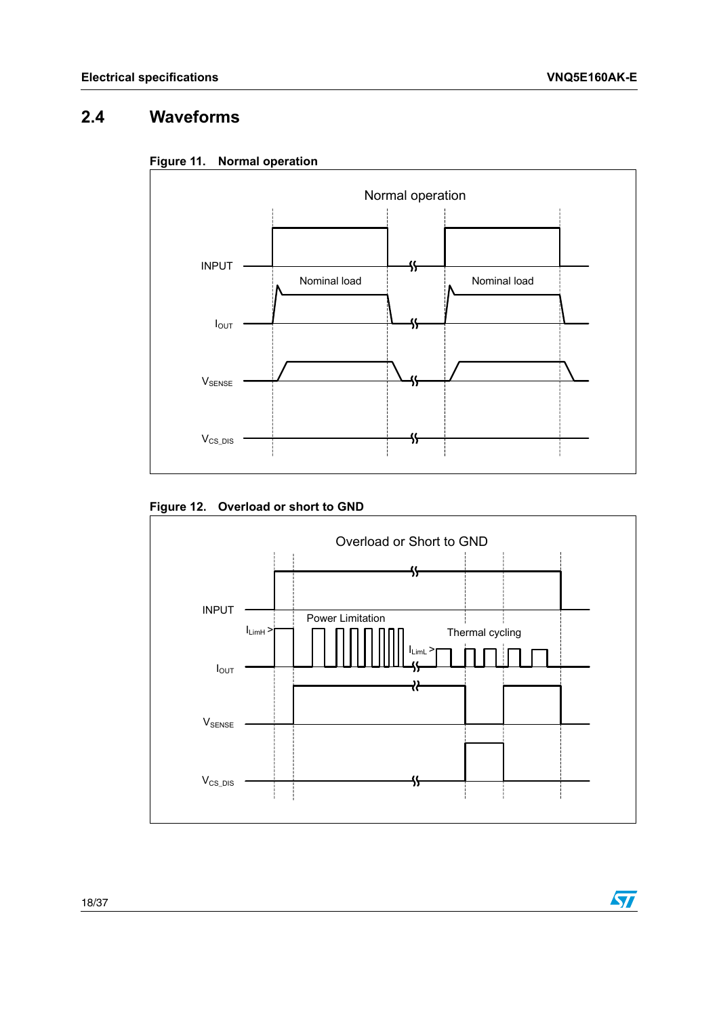$\sqrt{2}$ 

# <span id="page-17-0"></span>**2.4 Waveforms**

<span id="page-17-1"></span>



### <span id="page-17-2"></span>**Figure 12. Overload or short to GND**

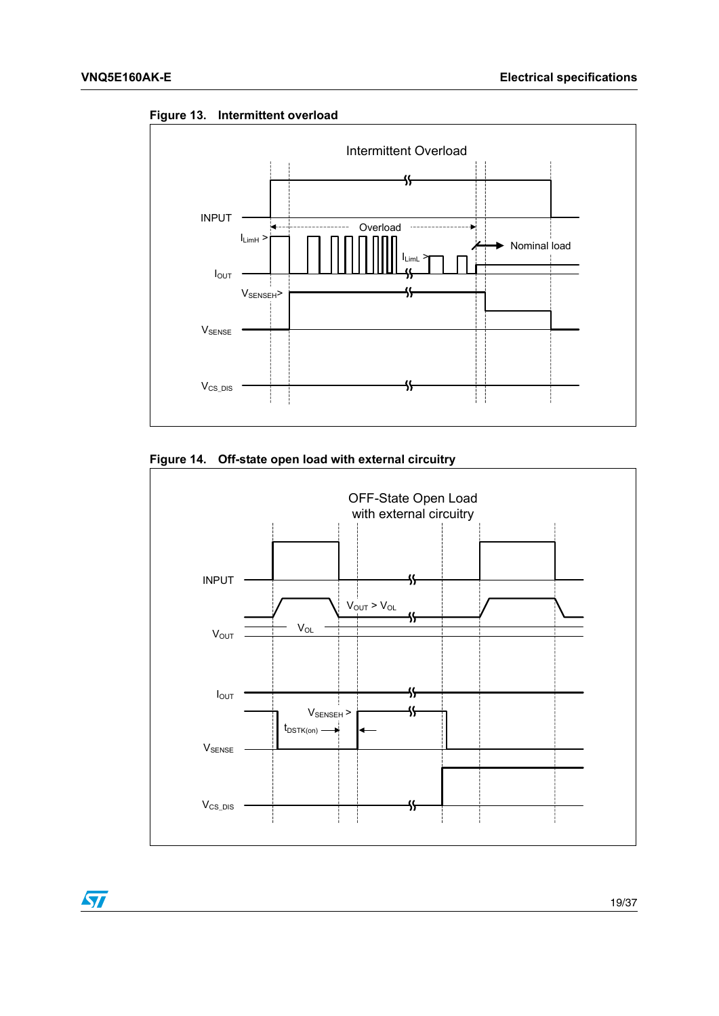

<span id="page-18-0"></span>**Figure 13. Intermittent overload**

<span id="page-18-1"></span>

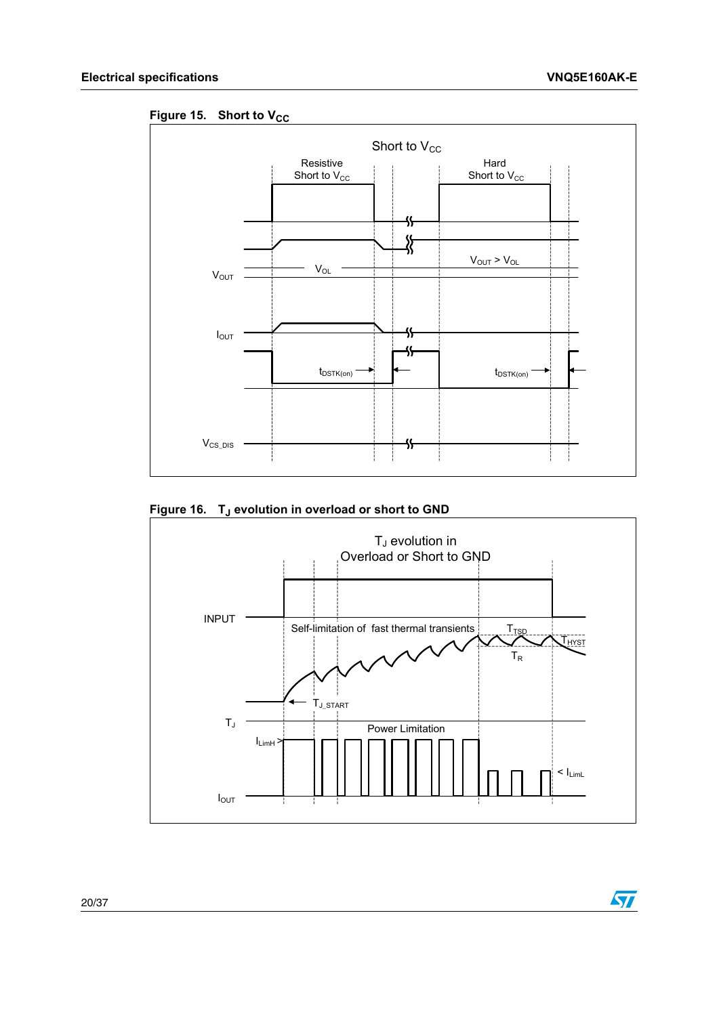$\sqrt{2}$ 

<span id="page-19-0"></span>Figure 15. Short to V<sub>CC</sub>



<span id="page-19-1"></span>Figure 16. T<sub>J</sub> evolution in overload or short to GND

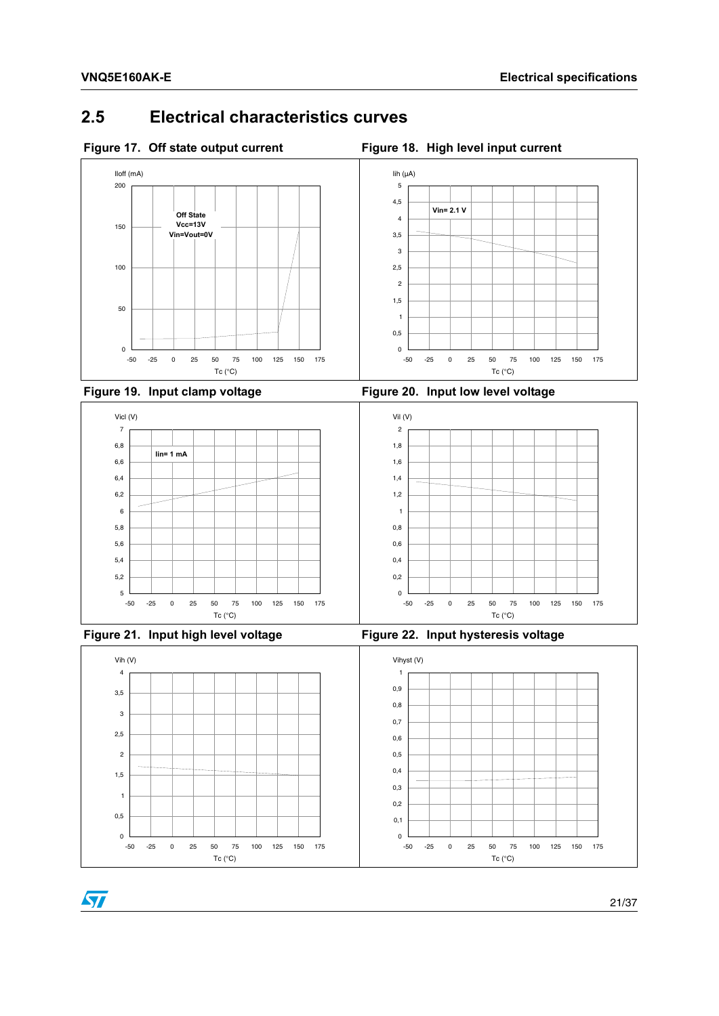# <span id="page-20-0"></span>**2.5 Electrical characteristics curves**

<span id="page-20-1"></span>

<span id="page-20-3"></span>

<span id="page-20-4"></span><span id="page-20-2"></span>



<span id="page-20-5"></span>



<span id="page-20-6"></span>

21/37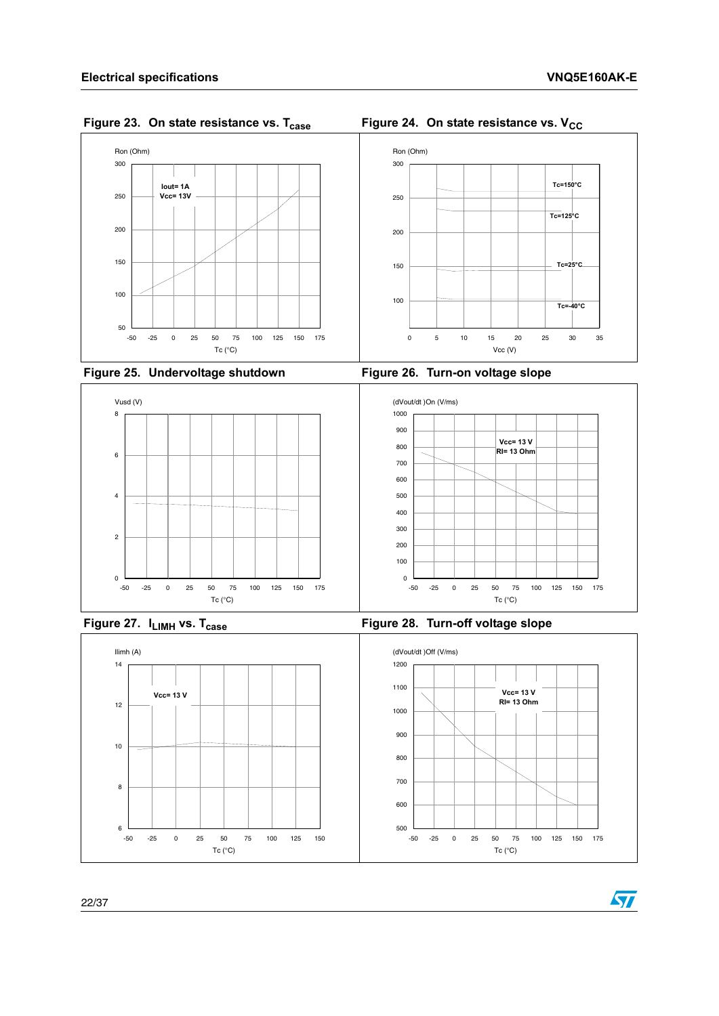<span id="page-21-0"></span>



<span id="page-21-2"></span>

<span id="page-21-3"></span><span id="page-21-1"></span>



<span id="page-21-4"></span>



**Figure 27.** I<sub>LIMH</sub> vs. T<sub>case</sub> **Figure 28. Turn-off voltage slope** 

<span id="page-21-5"></span>

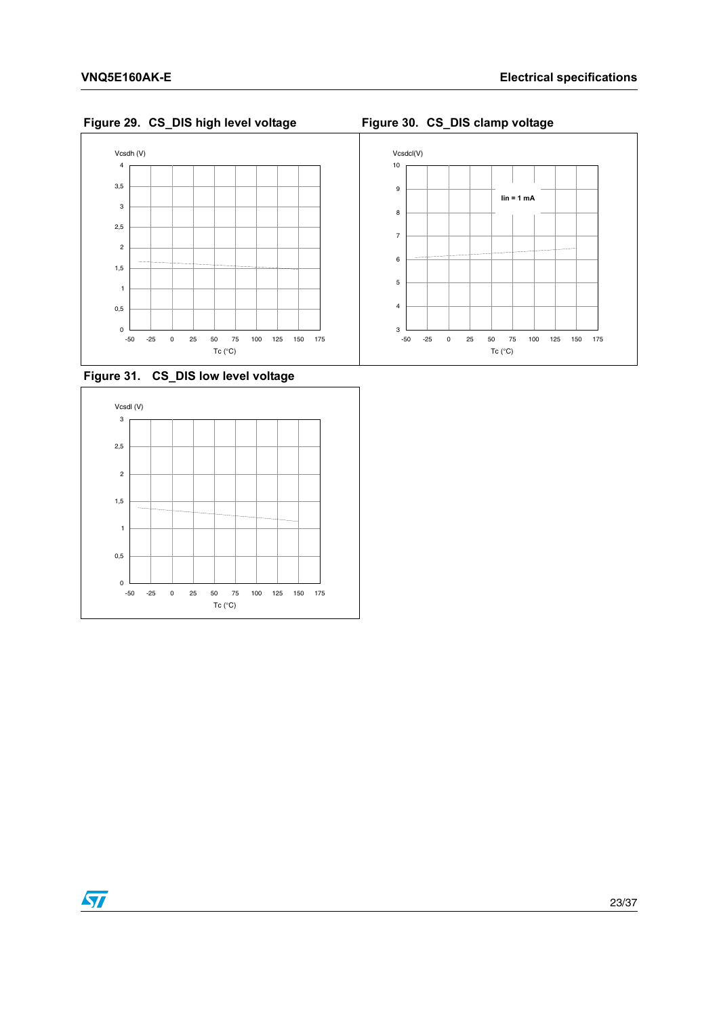$\sqrt{27}$ 

### <span id="page-22-0"></span>**Figure 29. CS\_DIS high level voltage Figure 30. CS\_DIS clamp voltage**



#### <span id="page-22-2"></span>**Figure 31. CS\_DIS low level voltage**



<span id="page-22-1"></span>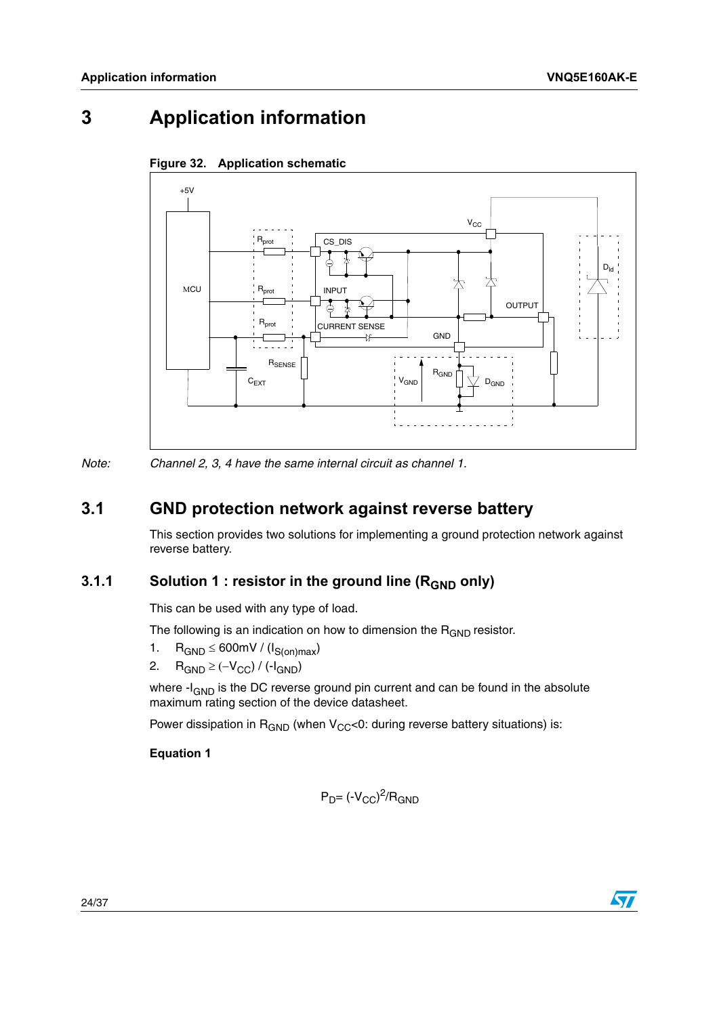# <span id="page-23-1"></span>**3 Application information**



#### <span id="page-23-4"></span><span id="page-23-0"></span>**Figure 32. Application schematic**

*Note: Channel 2, 3, 4 have the same internal circuit as channel 1.*

## <span id="page-23-2"></span>**3.1 GND protection network against reverse battery**

This section provides two solutions for implementing a ground protection network against reverse battery.

### <span id="page-23-3"></span>**3.1.1** Solution 1 : resistor in the ground line (R<sub>GND</sub> only)

This can be used with any type of load.

The following is an indication on how to dimension the  $R_{GND}$  resistor.

- 1.  $R_{GND} \leq 600$ mV / ( $I_{S(on)max}$ )
- 2.  $R_{GND} \geq (-V_{CC}) / (-I_{GND})$

where  $-I_{GND}$  is the DC reverse ground pin current and can be found in the absolute maximum rating section of the device datasheet.

Power dissipation in  $R_{GND}$  (when  $V_{CC}$ <0: during reverse battery situations) is:

#### **Equation 1**

$$
P_D = (-V_{CC})^2 / R_{GND}
$$

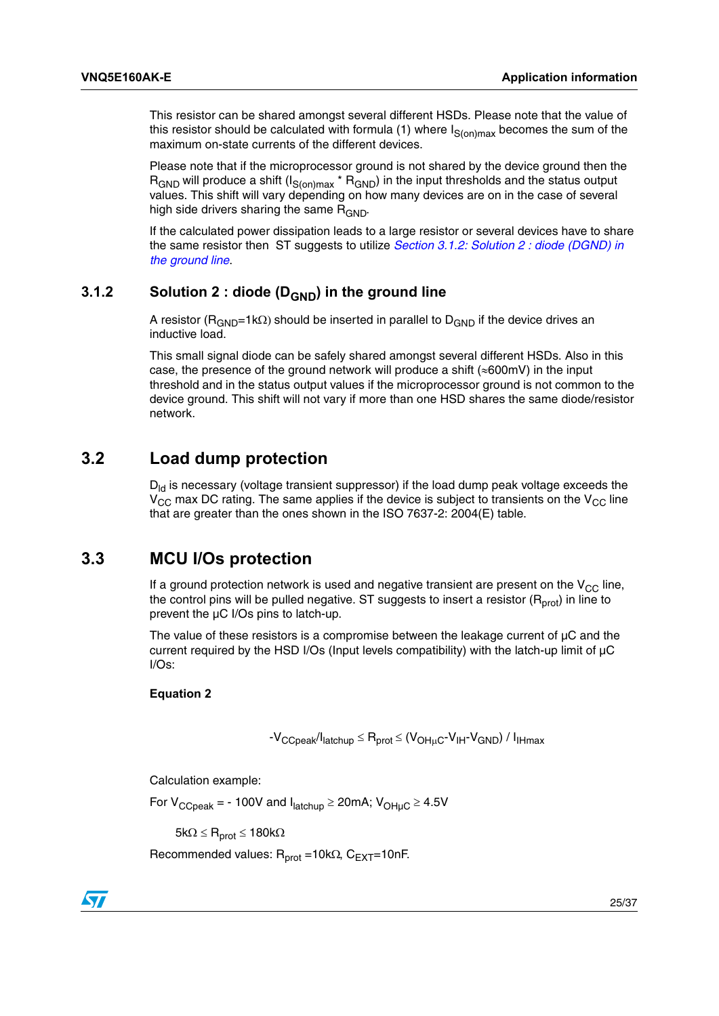This resistor can be shared amongst several different HSDs. Please note that the value of this resistor should be calculated with formula (1) where  $I_{S(on)max}$  becomes the sum of the maximum on-state currents of the different devices.

Please note that if the microprocessor ground is not shared by the device ground then the  $R_{\text{GND}}$  will produce a shift (I<sub>S(on)max</sub> \*  $R_{\text{GND}}$ ) in the input thresholds and the status output values. This shift will vary depending on how many devices are on in the case of several high side drivers sharing the same  $R_{GND}$ .

If the calculated power dissipation leads to a large resistor or several devices have to share the same resistor then ST suggests to utilize *[Section 3.1.2: Solution 2 : diode \(DGND\) in](#page-24-0)  [the ground line](#page-24-0)*.

### <span id="page-24-0"></span>**3.1.2** Solution 2 : diode (D<sub>GND</sub>) in the ground line

A resistor ( $R_{GND}=1k\Omega$ ) should be inserted in parallel to  $D_{GND}$  if the device drives an inductive load.

This small signal diode can be safely shared amongst several different HSDs. Also in this case, the presence of the ground network will produce a shift ( $\approx 600$ mV) in the input threshold and in the status output values if the microprocessor ground is not common to the device ground. This shift will not vary if more than one HSD shares the same diode/resistor network.

### <span id="page-24-1"></span>**3.2 Load dump protection**

 $D_{\text{ld}}$  is necessary (voltage transient suppressor) if the load dump peak voltage exceeds the  $V_{\rm CC}$  max DC rating. The same applies if the device is subject to transients on the  $V_{\rm CC}$  line that are greater than the ones shown in the ISO 7637-2: 2004(E) table.

### <span id="page-24-2"></span>**3.3 MCU I/Os protection**

If a ground protection network is used and negative transient are present on the  $V_{CC}$  line, the control pins will be pulled negative. ST suggests to insert a resistor  $(R_{prot})$  in line to prevent the µC I/Os pins to latch-up.

The value of these resistors is a compromise between the leakage current of  $\mu$ C and the current required by the HSD I/Os (Input levels compatibility) with the latch-up limit of µC I/Os:

#### **Equation 2**

$$
-V_{CCpeak}/I_{latchup} \leq R_{prot} \leq (V_{OH\mu C} - V_{IH} - V_{GND}) / I_{IHmax}
$$

Calculation example:

For  $V_{CCpeak}$  = - 100V and  $I_{\text{latchup}} \geq 20 \text{mA}$ ;  $V_{\text{OHUC}} \geq 4.5 \text{V}$ 

 $5k\Omega \leq R_{prot} \leq 180k\Omega$ 

Recommended values:  $R_{prot} = 10k\Omega$ ,  $C_{EXT} = 10nF$ .

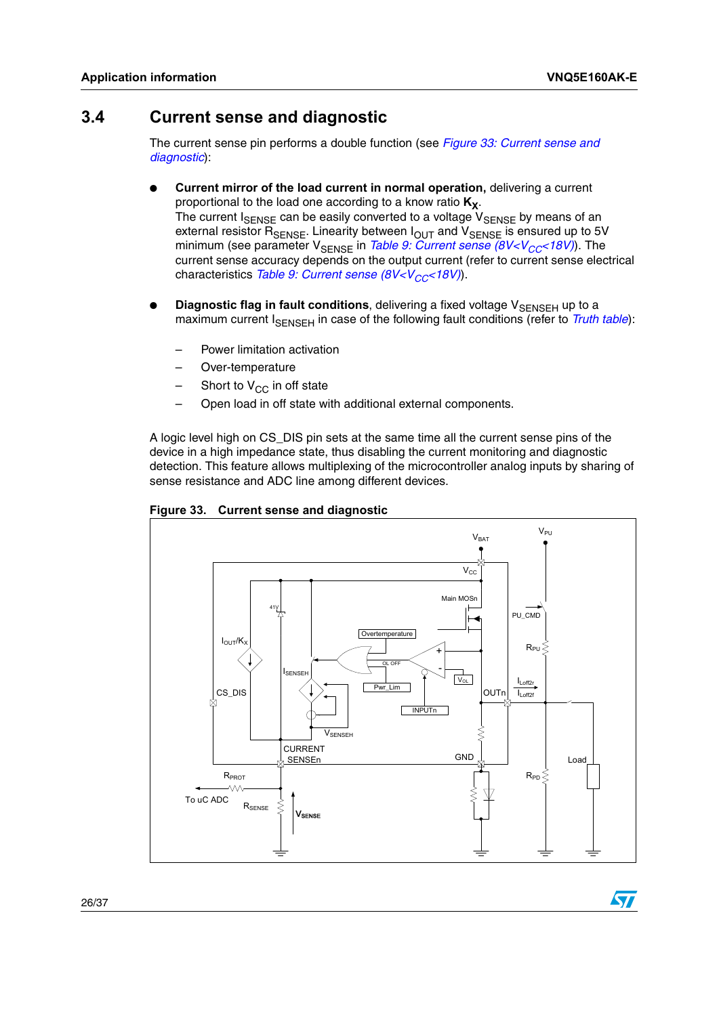**S7** 

## <span id="page-25-0"></span>**3.4 Current sense and diagnostic**

The current sense pin performs a double function (see *[Figure 33: Current sense and](#page-25-1)  [diagnostic](#page-25-1)*):

- **Current mirror of the load current in normal operation, delivering a current** proportional to the load one according to a know ratio  $K_X$ . The current  $I_{\text{SENSE}}$  can be easily converted to a voltage  $V_{\text{SENSE}}$  by means of an external resistor R<sub>SENSE</sub>. Linearity between I<sub>OUT</sub> and V<sub>SENSE</sub> is ensured up to 5V minimum (see parameter V<sub>SENSE</sub> in *Table 9: Current sense (8V<V<sub>CC</sub><18V)*). The current sense accuracy depends on the output current (refer to current sense electrical characteristics *Table 9: Current sense (8V<V<sub>CC</sub><18V)*).
- **Diagnostic flag in fault conditions**, delivering a fixed voltage V<sub>SENSEH</sub> up to a maximum current I<sub>SENSEH</sub> in case of the following fault conditions (refer to *[Truth table](#page-15-0)*):
	- Power limitation activation
	- Over-temperature
	- Short to  $V_{CC}$  in off state
	- Open load in off state with additional external components.

A logic level high on CS\_DIS pin sets at the same time all the current sense pins of the device in a high impedance state, thus disabling the current monitoring and diagnostic detection. This feature allows multiplexing of the microcontroller analog inputs by sharing of sense resistance and ADC line among different devices.



<span id="page-25-1"></span>**Figure 33. Current sense and diagnostic**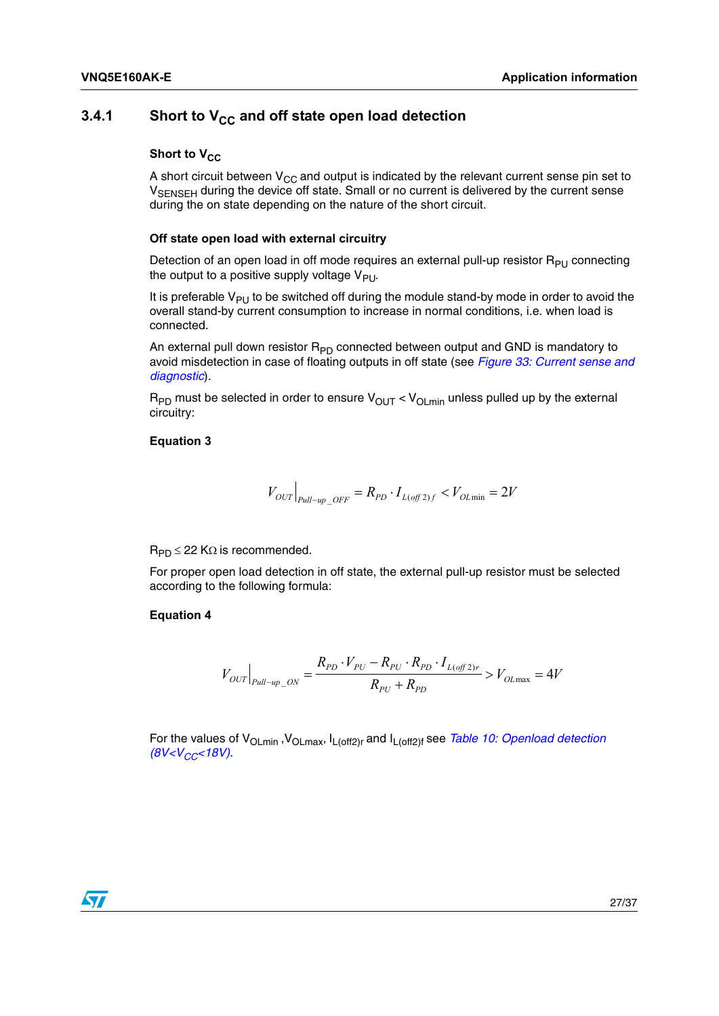### <span id="page-26-0"></span>**3.4.1** Short to V<sub>CC</sub> and off state open load detection

#### **Short to V<sub>cc</sub>**

A short circuit between  $V_{CC}$  and output is indicated by the relevant current sense pin set to V<sub>SENSEH</sub> during the device off state. Small or no current is delivered by the current sense during the on state depending on the nature of the short circuit.

#### **Off state open load with external circuitry**

Detection of an open load in off mode requires an external pull-up resistor  $R_{PU}$  connecting the output to a positive supply voltage  $V_{\text{PU}}$ .

It is preferable  $V_{PI}$  to be switched off during the module stand-by mode in order to avoid the overall stand-by current consumption to increase in normal conditions, i.e. when load is connected.

An external pull down resistor  $R_{\text{PD}}$  connected between output and GND is mandatory to avoid misdetection in case of floating outputs in off state (see *[Figure 33: Current sense and](#page-25-1)  [diagnostic](#page-25-1)*).

 $R_{PD}$  must be selected in order to ensure  $V_{OUT} < V_{OLmin}$  unless pulled up by the external circuitry:

#### **Equation 3**

$$
V_{OUT}|_{\scriptsize{pull-up~OFF}} = R_{PD} \cdot I_{L(off2)f} < V_{OL\min} = 2V
$$

 $R_{PD} \leq 22$  K $\Omega$  is recommended.

For proper open load detection in off state, the external pull-up resistor must be selected according to the following formula:

#### **Equation 4**

$$
V_{OUT}|_{_{Pull-up\_ON}} = \frac{R_{p_D} \cdot V_{p_U} - R_{p_U} \cdot R_{p_D} \cdot I_{L(off2)r}}{R_{p_U} + R_{p_D}} > V_{OLmax} = 4V
$$

For the values of V<sub>OLmin</sub>, V<sub>OLmax</sub>, I<sub>L(off2)r</sub> and I<sub>L(off2)f</sub> see *Table 10: Openload detection*  $(8V.$ 

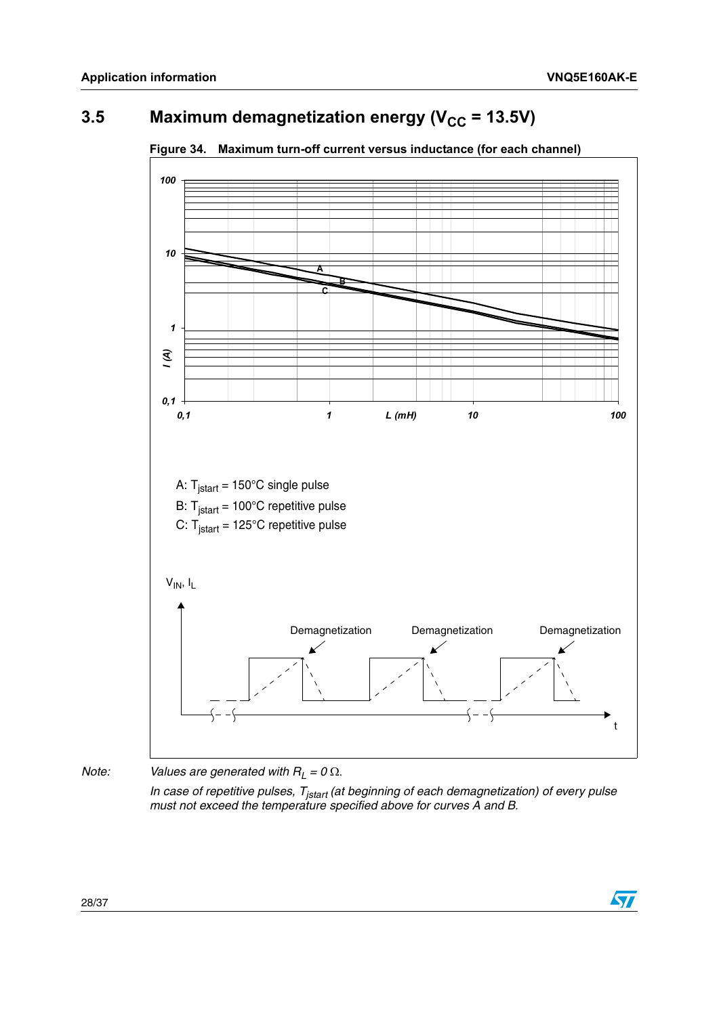$\overline{\mathbf{S}}$ 

# <span id="page-27-0"></span>**3.5** Maximum demagnetization energy ( $V_{CC}$  = 13.5V)



<span id="page-27-1"></span>**Figure 34. Maximum turn-off current versus inductance (for each channel)** 

*Note: Values are generated with*  $R_L = 0 \Omega$ *.* 

*In case of repetitive pulses, T<sub>jstart</sub> (at beginning of each demagnetization) of every pulse must not exceed the temperature specified above for curves A and B.*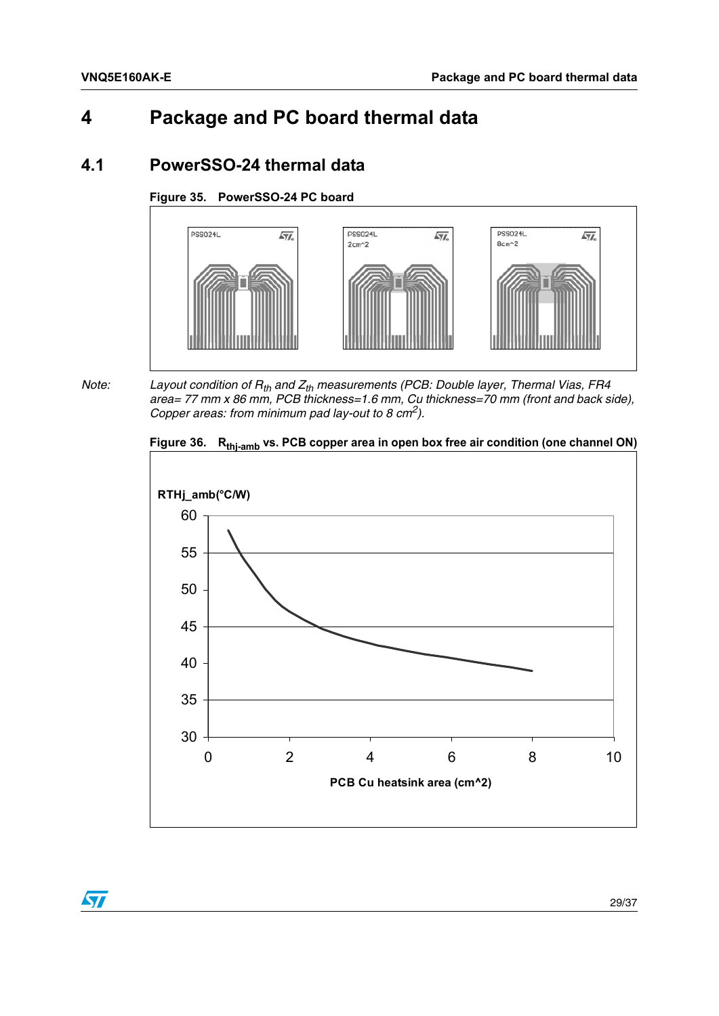# <span id="page-28-0"></span>**4 Package and PC board thermal data**

## <span id="page-28-1"></span>**4.1 PowerSSO-24 thermal data**

### <span id="page-28-2"></span>**Figure 35. PowerSSO-24 PC board**



*Note:* Layout condition of R<sub>th</sub> and Z<sub>th</sub> measurements (PCB: Double layer, Thermal Vias, FR4 *area= 77 mm x 86 mm, PCB thickness=1.6 mm, Cu thickness=70 mm (front and back side), Copper areas: from minimum pad lay-out to 8 cm2).* 

<span id="page-28-3"></span>



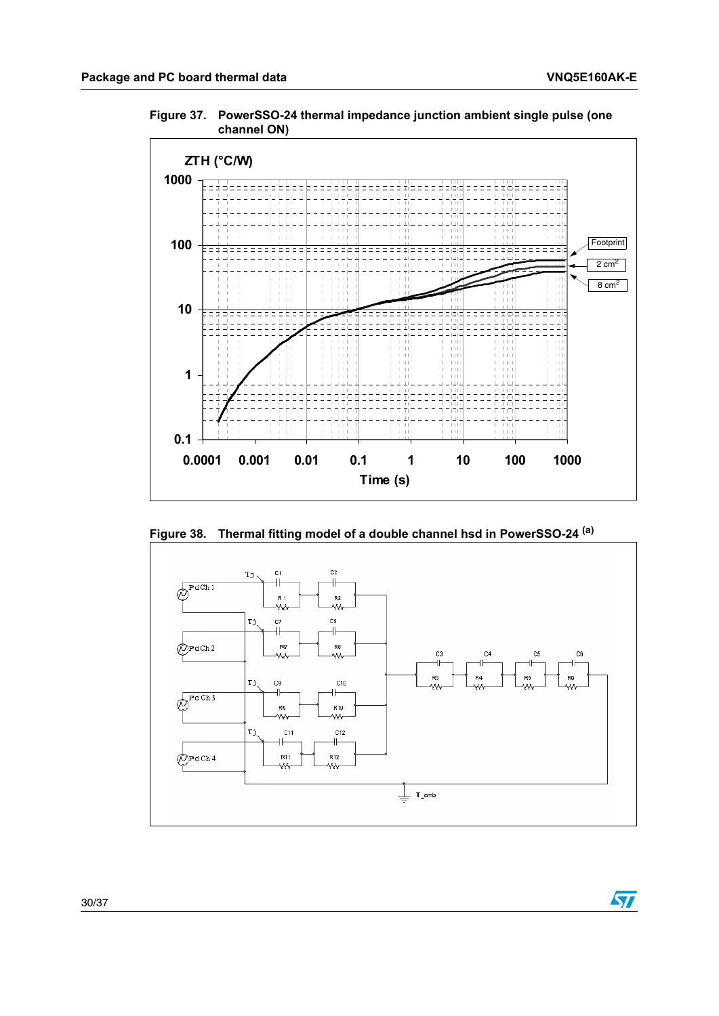$\sqrt{2}$ 

<span id="page-29-0"></span>**Figure 37. PowerSSO-24 thermal impedance junction ambient single pulse (one channel ON)**



<span id="page-29-1"></span>**Figure 38. Thermal fitting model of a double channel hsd in PowerSSO-24 (a)**

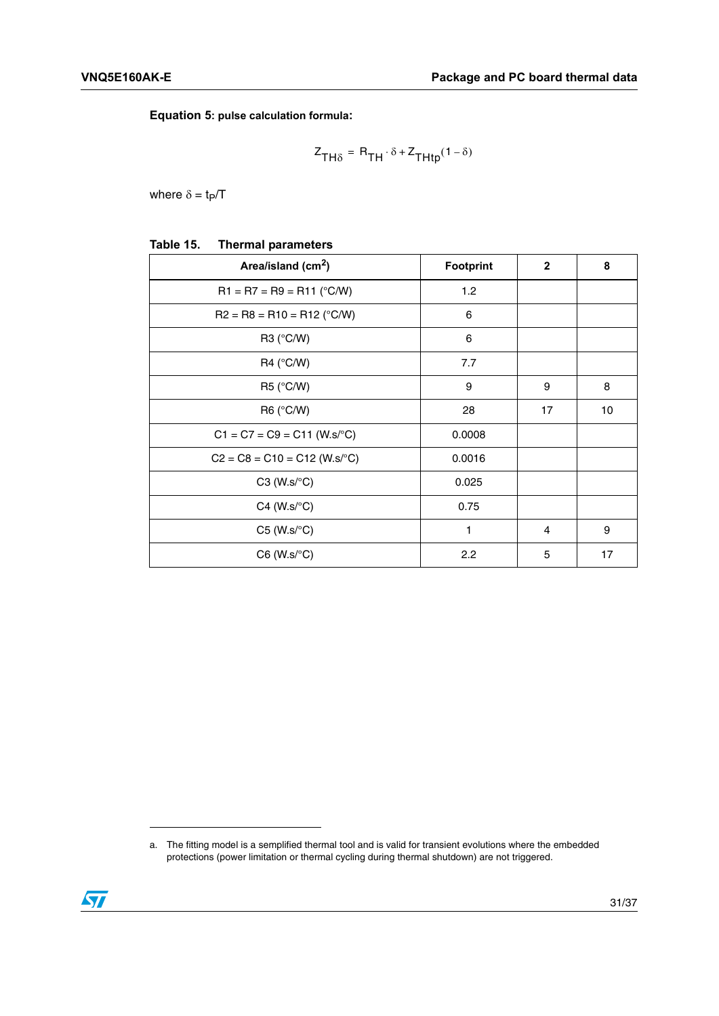**Equation 5: pulse calculation formula:**

$$
Z_{TH\delta} = R_{TH} \cdot \delta + Z_{THtp}(1 - \delta)
$$

where  $\delta = t_P/T$ 

<span id="page-30-0"></span>

| Table 15. | <b>Thermal parameters</b> |
|-----------|---------------------------|
|-----------|---------------------------|

| Area/island (cm <sup>2</sup> )    | <b>Footprint</b> | $\mathbf{2}$ | 8  |
|-----------------------------------|------------------|--------------|----|
| $R1 = R7 = R9 = R11 (°C/W)$       | 1.2              |              |    |
| $R2 = R8 = R10 = R12$ (°C/W)      | 6                |              |    |
| R3 (°C/W)                         | 6                |              |    |
| R4 (°C/W)                         | 7.7              |              |    |
| R5 (°C/W)                         | 9                | 9            | 8  |
| R6 (°C/W)                         | 28               | 17           | 10 |
| $C1 = C7 = C9 = C11$ (W.s/°C)     | 0.0008           |              |    |
| $C2 = C8 = C10 = C12$ (W.s/°C)    | 0.0016           |              |    |
| $C3$ (W.s/ $\mathrm{^{\circ}C}$ ) | 0.025            |              |    |
| $C4$ (W.s/ $\mathrm{^{\circ}C}$ ) | 0.75             |              |    |
| $C5$ (W.s/ $\textdegree C$ )      | 1                | 4            | 9  |
| $C6$ (W.s/ $\textdegree C$ )      | 2.2              | 5            | 17 |

a. The fitting model is a semplified thermal tool and is valid for transient evolutions where the embedded protections (power limitation or thermal cycling during thermal shutdown) are not triggered.

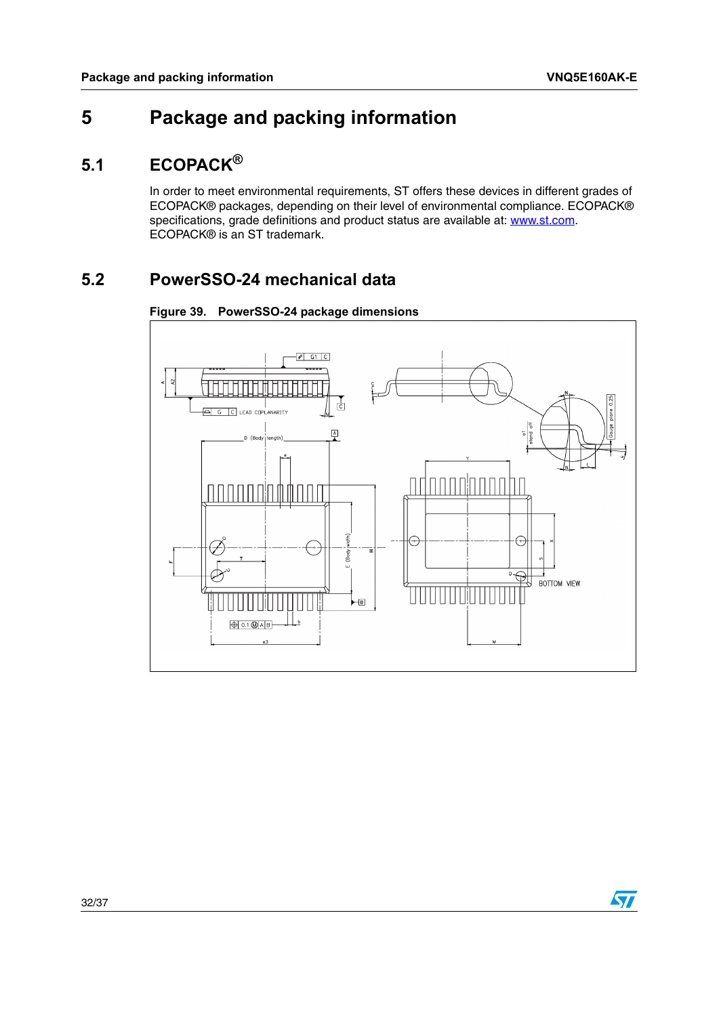# <span id="page-31-0"></span>**5 Package and packing information**

## <span id="page-31-1"></span>**5.1 ECOPACK®**

In order to meet environmental requirements, ST offers these devices in different grades of ECOPACK® packages, depending on their level of environmental compliance. ECOPACK® specifications, grade definitions and product status are available at: www.st.com. ECOPACK® is an ST trademark.

# <span id="page-31-2"></span>**5.2 PowerSSO-24 mechanical data**



<span id="page-31-3"></span>**Figure 39. PowerSSO-24 package dimensions**

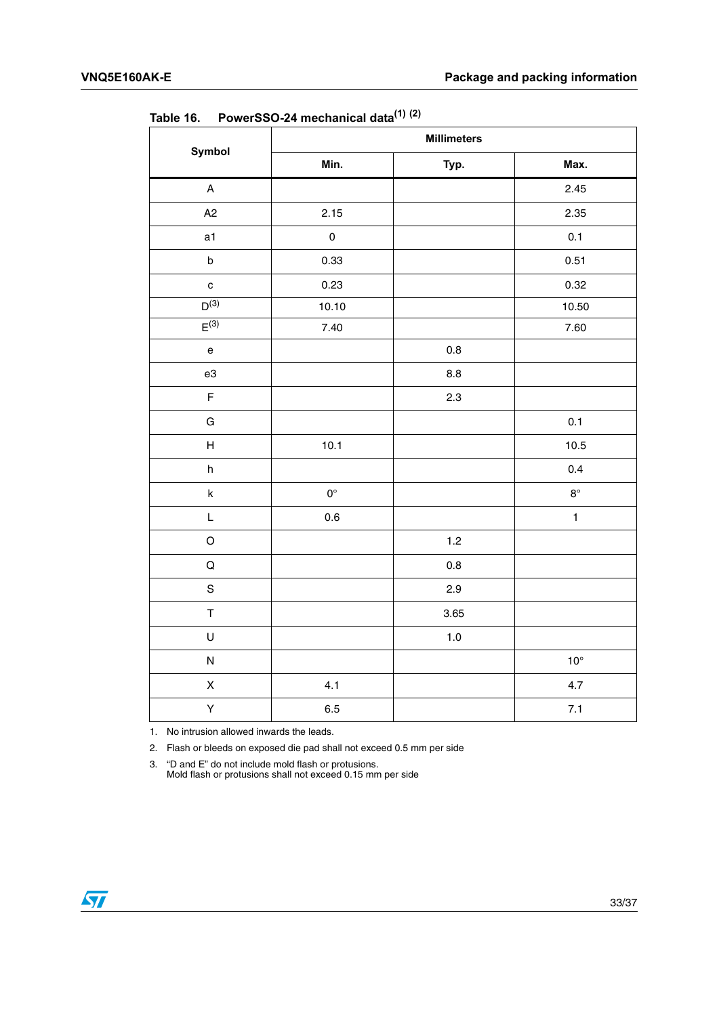|                                                                                                           | <b>Millimeters</b>  |         |              |
|-----------------------------------------------------------------------------------------------------------|---------------------|---------|--------------|
| Symbol                                                                                                    | Min.                | Typ.    | Max.         |
| $\boldsymbol{\mathsf{A}}$                                                                                 |                     |         | 2.45         |
| A <sub>2</sub>                                                                                            | 2.15                |         | 2.35         |
| a1                                                                                                        | $\mathsf{O}\xspace$ |         | 0.1          |
| $\sf b$                                                                                                   | 0.33                |         | 0.51         |
| $\mathbf c$                                                                                               | 0.23                |         | 0.32         |
| $D^{(3)}$                                                                                                 | 10.10               |         | 10.50        |
| $E^{(3)}$                                                                                                 | $7.40\,$            |         | 7.60         |
| $\mathsf{e}% _{t}\left( t\right) \equiv\mathsf{e}_{t}\left( t\right) \equiv\mathsf{e}_{t}\left( t\right)$ |                     | 0.8     |              |
| e3                                                                                                        |                     | $8.8\,$ |              |
| $\overline{\mathsf{F}}$                                                                                   |                     | 2.3     |              |
| G                                                                                                         |                     |         | 0.1          |
| $\overline{\mathsf{H}}$                                                                                   | 10.1                |         | 10.5         |
| h                                                                                                         |                     |         | 0.4          |
| $\mathsf k$                                                                                               | $0^{\circ}$         |         | $8^\circ$    |
| L                                                                                                         | $0.6\,$             |         | $\mathbf{1}$ |
| $\hbox{O}$                                                                                                |                     | 1.2     |              |
| $\mathsf Q$                                                                                               |                     | 0.8     |              |
| $\mathsf S$                                                                                               |                     | 2.9     |              |
| $\mathsf T$                                                                                               |                     | 3.65    |              |
| U                                                                                                         |                     | $1.0$   |              |
| ${\sf N}$                                                                                                 |                     |         | $10^{\circ}$ |
| $\pmb{\mathsf{X}}$                                                                                        | 4.1                 |         | 4.7          |
| Υ                                                                                                         | 6.5                 |         | $7.1$        |

<span id="page-32-0"></span>Table 16. **Table 16. PowerSSO-24 mechanical data(1) (2)**

1. No intrusion allowed inwards the leads.

2. Flash or bleeds on exposed die pad shall not exceed 0.5 mm per side

3. "D and E" do not include mold flash or protusions. Mold flash or protusions shall not exceed 0.15 mm per side

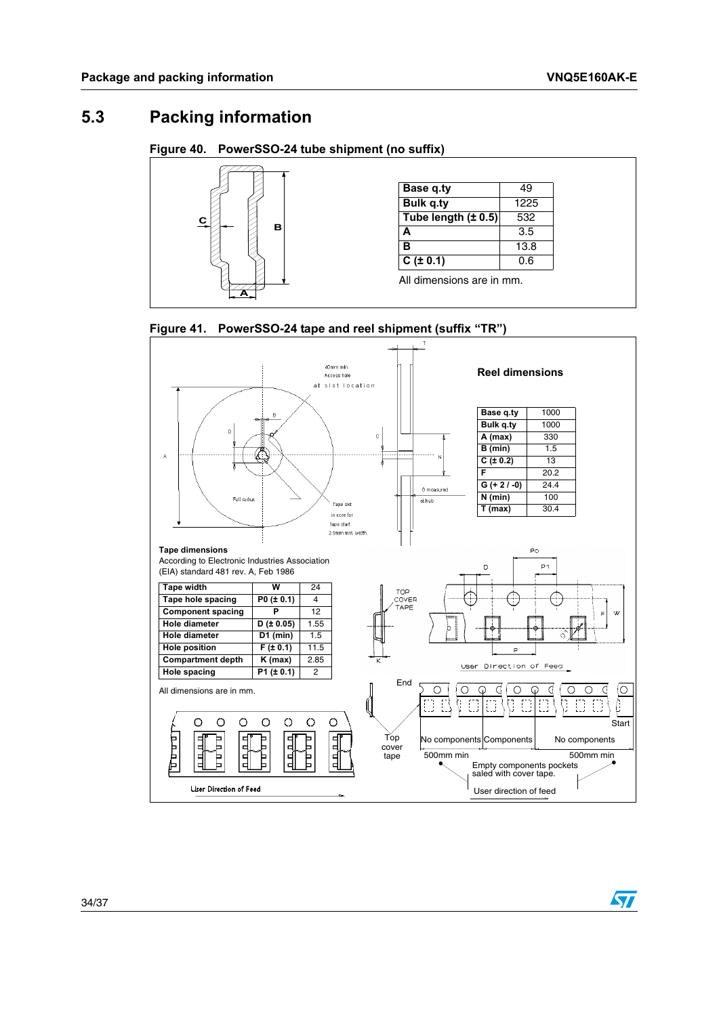$\sqrt{2}$ 

## <span id="page-33-0"></span>**5.3 Packing information**

#### <span id="page-33-1"></span>**Figure 40. PowerSSO-24 tube shipment (no suffix)**



<span id="page-33-2"></span>

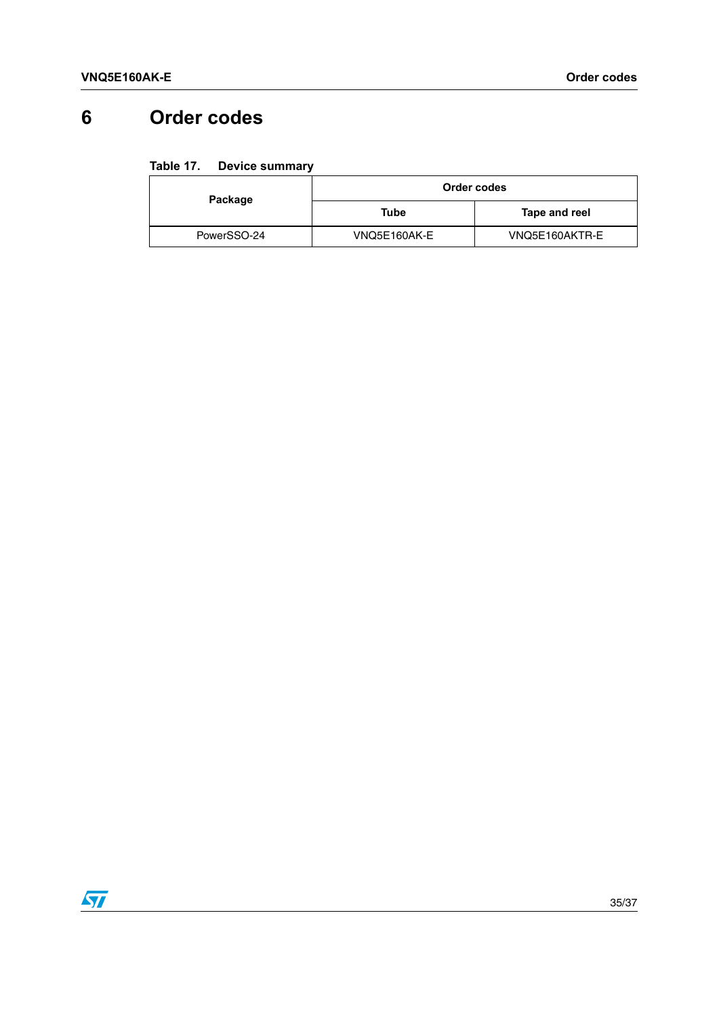# <span id="page-34-0"></span>**6 Order codes**

#### <span id="page-34-1"></span>Table 17. **Device summary**

| Package     | Order codes  |                |
|-------------|--------------|----------------|
|             | Tube         | Tape and reel  |
| PowerSSO-24 | VNQ5E160AK-E | VNQ5E160AKTR-E |

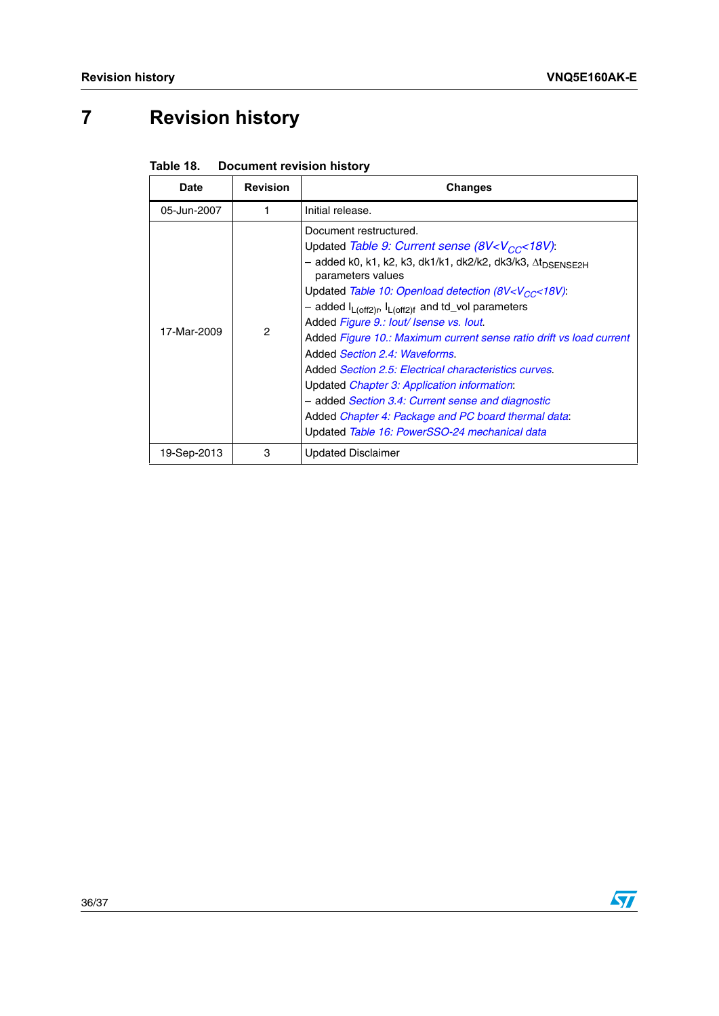# <span id="page-35-0"></span>**7 Revision history**

| <b>Date</b> | <b>Revision</b> | <b>Changes</b>                                                                                                                                                                                                                                                                                                                                                                                                                                                                                                                                                                                                                                                                                                                                                                                      |
|-------------|-----------------|-----------------------------------------------------------------------------------------------------------------------------------------------------------------------------------------------------------------------------------------------------------------------------------------------------------------------------------------------------------------------------------------------------------------------------------------------------------------------------------------------------------------------------------------------------------------------------------------------------------------------------------------------------------------------------------------------------------------------------------------------------------------------------------------------------|
| 05-Jun-2007 |                 | Initial release.                                                                                                                                                                                                                                                                                                                                                                                                                                                                                                                                                                                                                                                                                                                                                                                    |
| 17-Mar-2009 | 2               | Document restructured.<br>Updated Table 9: Current sense (8V <v<sub>CC&lt;18V):<br/>- added k0, k1, k2, k3, dk1/k1, dk2/k2, dk3/k3, ∆t<sub>DSENSE2H</sub><br/>parameters values<br/>Updated Table 10: Openload detection (8V<v<sub>CC&lt;18V):<br/>- added <math>I_{L(off2)r}</math>, <math>I_{L(off2)f}</math> and td_vol parameters<br/>Added Figure 9.: lout/ Isense vs. lout.<br/>Added Figure 10.: Maximum current sense ratio drift vs load current<br/>Added Section 2.4: Waveforms.<br/>Added Section 2.5: Electrical characteristics curves.<br/>Updated <i>Chapter 3: Application information</i>:<br/>- added <i>Section 3.4: Current sense and diagnostic</i><br/>Added Chapter 4: Package and PC board thermal data:<br/>Updated Table 16: PowerSSO-24 mechanical data</v<sub></v<sub> |
| 19-Sep-2013 | 3               | <b>Updated Disclaimer</b>                                                                                                                                                                                                                                                                                                                                                                                                                                                                                                                                                                                                                                                                                                                                                                           |

<span id="page-35-1"></span>

| <b>Document revision history</b><br>Table 18. |
|-----------------------------------------------|
|-----------------------------------------------|